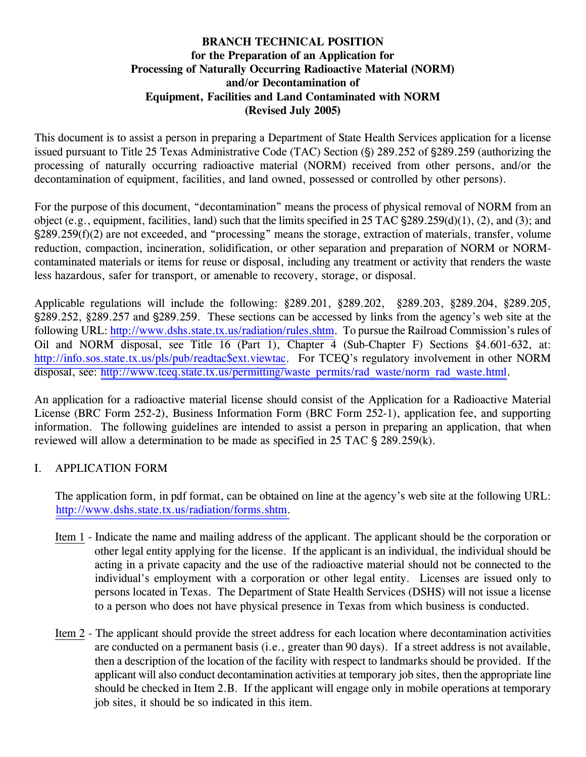#### **BRANCH TECHNICAL POSITION for the Preparation of an Application for Processing of Naturally Occurring Radioactive Material (NORM) and/or Decontamination of Equipment, Facilities and Land Contaminated with NORM (Revised July 2005)**

This document is to assist a person in preparing a Department of State Health Services application for a license issued pursuant to Title 25 Texas Administrative Code (TAC) Section (§) 289.252 of §289.259 (authorizing the processing of naturally occurring radioactive material (NORM) received from other persons, and/or the decontamination of equipment, facilities, and land owned, possessed or controlled by other persons).

For the purpose of this document, "decontamination" means the process of physical removal of NORM from an object (e.g., equipment, facilities, land) such that the limits specified in  $25$  TAC  $\S$ 289.259(d)(1), (2), and (3); and '289.259(f)(2) are not exceeded, and "processing" means the storage, extraction of materials, transfer, volume reduction, compaction, incineration, solidification, or other separation and preparation of NORM or NORMcontaminated materials or items for reuse or disposal, including any treatment or activity that renders the waste less hazardous, safer for transport, or amenable to recovery, storage, or disposal.

Applicable regulations will include the following: §289.201, §289.202, §289.203, §289.204, §289.205, '289.252, §289.257 and '289.259. These sections can be accessed by links from the agency's web site at the following URL: [http://www.dshs.state.tx.us/radiation/rules.shtm.](http://www.dshs.state.tx.us/radiation/rules.shtm) To pursue the Railroad Commission's rules of Oil and NORM disposal, see Title 16 (Part 1), Chapter 4 (Sub-Chapter F) Sections §4.601-632, at: [http://info.sos.state.tx.us/pls/pub/readtac\\$ext.viewtac.](http://info.sos.state.tx.us/pls/pub/readtac$ext.viewtac) For TCEQ's regulatory involvement in other NORM disposal, see: [http://www.tceq.state.tx.us/permitting/waste\\_permits/rad\\_waste/norm\\_rad\\_waste.html.](http://www.tceq.state.tx.us/permitting/waste_permits/rad_waste/norm_rad_waste.html)

An application for a radioactive material license should consist of the Application for a Radioactive Material License (BRC Form 252-2), Business Information Form (BRC Form 252-1), application fee, and supporting information. The following guidelines are intended to assist a person in preparing an application, that when reviewed will allow a determination to be made as specified in  $25$  TAC  $\S 289.259(k)$ .

#### I. APPLICATION FORM

 The application form, in pdf format, can be obtained on line at the agency's web site at the following URL: [http://www.dshs.state.tx.us/radiation/forms.shtm.](http://www.dshs.state.tx.us/radiation/forms.shtm)

- Item 1 Indicate the name and mailing address of the applicant. The applicant should be the corporation or other legal entity applying for the license. If the applicant is an individual, the individual should be acting in a private capacity and the use of the radioactive material should not be connected to the individual's employment with a corporation or other legal entity. Licenses are issued only to persons located in Texas. The Department of State Health Services (DSHS) will not issue a license to a person who does not have physical presence in Texas from which business is conducted.
- Item 2 The applicant should provide the street address for each location where decontamination activities are conducted on a permanent basis (i.e., greater than 90 days). If a street address is not available, then a description of the location of the facility with respect to landmarks should be provided. If the applicant will also conduct decontamination activities at temporary job sites, then the appropriate line should be checked in Item 2.B. If the applicant will engage only in mobile operations at temporary job sites, it should be so indicated in this item.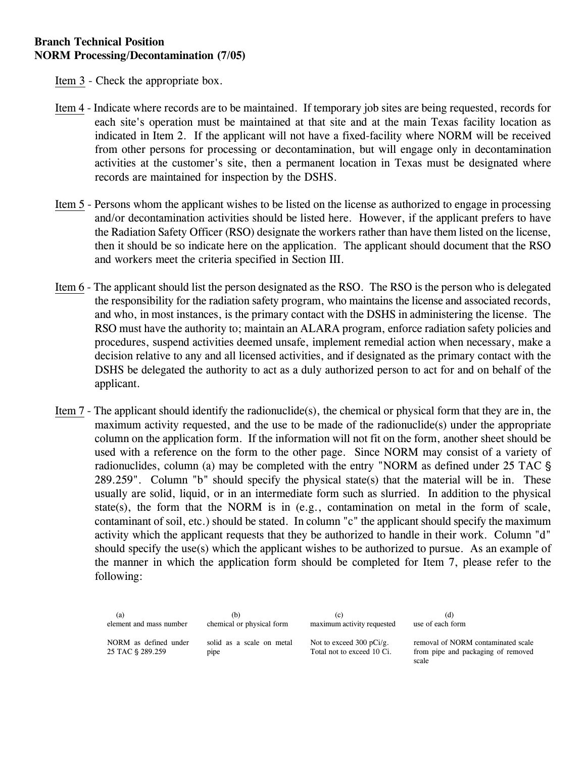Item 3 - Check the appropriate box.

- Item 4 Indicate where records are to be maintained. If temporary job sites are being requested, records for each site's operation must be maintained at that site and at the main Texas facility location as indicated in Item 2. If the applicant will not have a fixed-facility where NORM will be received from other persons for processing or decontamination, but will engage only in decontamination activities at the customer's site, then a permanent location in Texas must be designated where records are maintained for inspection by the DSHS.
- Item 5 Persons whom the applicant wishes to be listed on the license as authorized to engage in processing and/or decontamination activities should be listed here. However, if the applicant prefers to have the Radiation Safety Officer (RSO) designate the workers rather than have them listed on the license, then it should be so indicate here on the application. The applicant should document that the RSO and workers meet the criteria specified in Section III.
- Item 6 The applicant should list the person designated as the RSO. The RSO is the person who is delegated the responsibility for the radiation safety program, who maintains the license and associated records, and who, in most instances, is the primary contact with the DSHS in administering the license. The RSO must have the authority to; maintain an ALARA program, enforce radiation safety policies and procedures, suspend activities deemed unsafe, implement remedial action when necessary, make a decision relative to any and all licensed activities, and if designated as the primary contact with the DSHS be delegated the authority to act as a duly authorized person to act for and on behalf of the applicant.
- Item 7 The applicant should identify the radionuclide(s), the chemical or physical form that they are in, the maximum activity requested, and the use to be made of the radionuclide(s) under the appropriate column on the application form. If the information will not fit on the form, another sheet should be used with a reference on the form to the other page. Since NORM may consist of a variety of radionuclides, column (a) may be completed with the entry "NORM as defined under 25 TAC  $\S$ 289.259". Column "b" should specify the physical state(s) that the material will be in. These usually are solid, liquid, or in an intermediate form such as slurried. In addition to the physical state(s), the form that the NORM is in (e.g., contamination on metal in the form of scale, contaminant of soil, etc.) should be stated. In column "c" the applicant should specify the maximum activity which the applicant requests that they be authorized to handle in their work. Column "d" should specify the use(s) which the applicant wishes to be authorized to pursue. As an example of the manner in which the application form should be completed for Item 7, please refer to the following:

| (a)                                       | (b)                               | $\left( c\right)$                                                 | (d)                                                                               |
|-------------------------------------------|-----------------------------------|-------------------------------------------------------------------|-----------------------------------------------------------------------------------|
| element and mass number                   | chemical or physical form         | maximum activity requested                                        | use of each form                                                                  |
| NORM as defined under<br>25 TAC § 289.259 | solid as a scale on metal<br>pipe | Not to exceed $300 \text{ pCi/g}$ .<br>Total not to exceed 10 Ci. | removal of NORM contaminated scale<br>from pipe and packaging of removed<br>scale |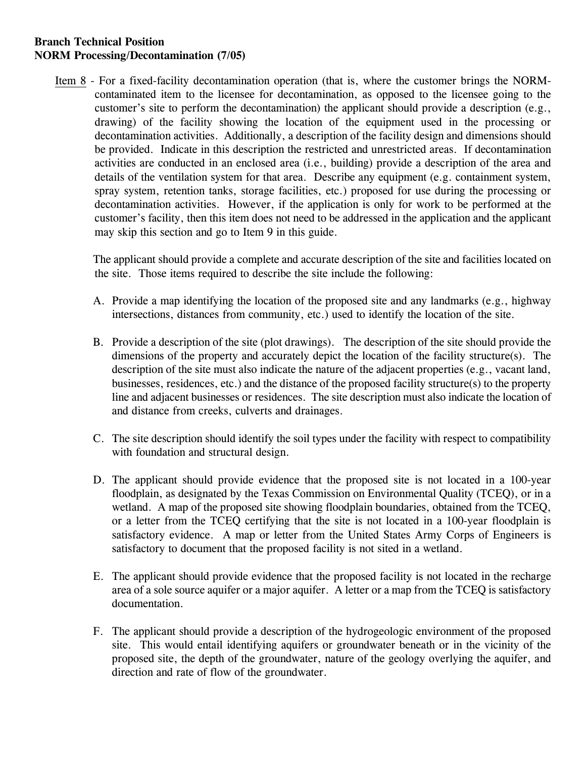Item 8 - For a fixed-facility decontamination operation (that is, where the customer brings the NORMcontaminated item to the licensee for decontamination, as opposed to the licensee going to the customer's site to perform the decontamination) the applicant should provide a description (e.g., drawing) of the facility showing the location of the equipment used in the processing or decontamination activities. Additionally, a description of the facility design and dimensions should be provided. Indicate in this description the restricted and unrestricted areas. If decontamination activities are conducted in an enclosed area (i.e., building) provide a description of the area and details of the ventilation system for that area. Describe any equipment (e.g. containment system, spray system, retention tanks, storage facilities, etc.) proposed for use during the processing or decontamination activities. However, if the application is only for work to be performed at the customer's facility, then this item does not need to be addressed in the application and the applicant may skip this section and go to Item 9 in this guide.

 The applicant should provide a complete and accurate description of the site and facilities located on the site. Those items required to describe the site include the following:

- A. Provide a map identifying the location of the proposed site and any landmarks (e.g., highway intersections, distances from community, etc.) used to identify the location of the site.
- B. Provide a description of the site (plot drawings). The description of the site should provide the dimensions of the property and accurately depict the location of the facility structure(s). The description of the site must also indicate the nature of the adjacent properties (e.g., vacant land, businesses, residences, etc.) and the distance of the proposed facility structure(s) to the property line and adjacent businesses or residences. The site description must also indicate the location of and distance from creeks, culverts and drainages.
- C. The site description should identify the soil types under the facility with respect to compatibility with foundation and structural design.
- D. The applicant should provide evidence that the proposed site is not located in a 100-year floodplain, as designated by the Texas Commission on Environmental Quality (TCEQ), or in a wetland. A map of the proposed site showing floodplain boundaries, obtained from the TCEQ, or a letter from the TCEQ certifying that the site is not located in a 100-year floodplain is satisfactory evidence. A map or letter from the United States Army Corps of Engineers is satisfactory to document that the proposed facility is not sited in a wetland.
- E. The applicant should provide evidence that the proposed facility is not located in the recharge area of a sole source aquifer or a major aquifer. A letter or a map from the TCEQ is satisfactory documentation.
- F. The applicant should provide a description of the hydrogeologic environment of the proposed site. This would entail identifying aquifers or groundwater beneath or in the vicinity of the proposed site, the depth of the groundwater, nature of the geology overlying the aquifer, and direction and rate of flow of the groundwater.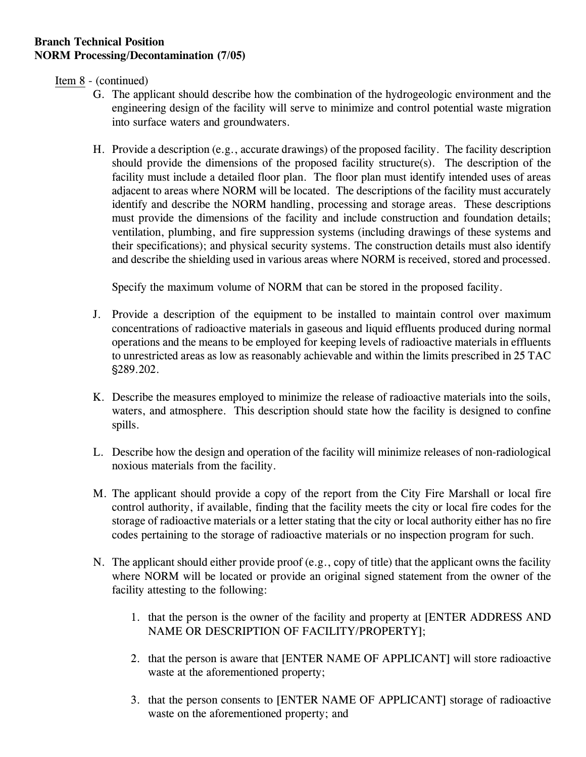Item 8 - (continued)

- G. The applicant should describe how the combination of the hydrogeologic environment and the engineering design of the facility will serve to minimize and control potential waste migration into surface waters and groundwaters.
- H. Provide a description (e.g., accurate drawings) of the proposed facility. The facility description should provide the dimensions of the proposed facility structure(s). The description of the facility must include a detailed floor plan. The floor plan must identify intended uses of areas adjacent to areas where NORM will be located. The descriptions of the facility must accurately identify and describe the NORM handling, processing and storage areas. These descriptions must provide the dimensions of the facility and include construction and foundation details; ventilation, plumbing, and fire suppression systems (including drawings of these systems and their specifications); and physical security systems. The construction details must also identify and describe the shielding used in various areas where NORM is received, stored and processed.

Specify the maximum volume of NORM that can be stored in the proposed facility.

- J. Provide a description of the equipment to be installed to maintain control over maximum concentrations of radioactive materials in gaseous and liquid effluents produced during normal operations and the means to be employed for keeping levels of radioactive materials in effluents to unrestricted areas as low as reasonably achievable and within the limits prescribed in 25 TAC '289.202.
- K. Describe the measures employed to minimize the release of radioactive materials into the soils, waters, and atmosphere. This description should state how the facility is designed to confine spills.
- L. Describe how the design and operation of the facility will minimize releases of non-radiological noxious materials from the facility.
- M. The applicant should provide a copy of the report from the City Fire Marshall or local fire control authority, if available, finding that the facility meets the city or local fire codes for the storage of radioactive materials or a letter stating that the city or local authority either has no fire codes pertaining to the storage of radioactive materials or no inspection program for such.
- N. The applicant should either provide proof (e.g., copy of title) that the applicant owns the facility where NORM will be located or provide an original signed statement from the owner of the facility attesting to the following:
	- 1. that the person is the owner of the facility and property at [ENTER ADDRESS AND NAME OR DESCRIPTION OF FACILITY/PROPERTY];
	- 2. that the person is aware that [ENTER NAME OF APPLICANT] will store radioactive waste at the aforementioned property;
	- 3. that the person consents to [ENTER NAME OF APPLICANT] storage of radioactive waste on the aforementioned property; and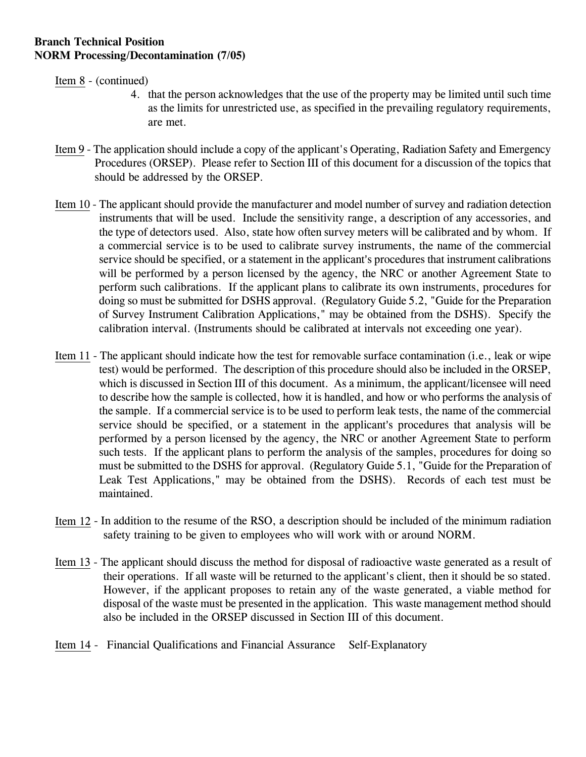Item 8 - (continued)

- 4. that the person acknowledges that the use of the property may be limited until such time as the limits for unrestricted use, as specified in the prevailing regulatory requirements, are met.
- Item 9 The application should include a copy of the applicant's Operating, Radiation Safety and Emergency Procedures (ORSEP). Please refer to Section III of this document for a discussion of the topics that should be addressed by the ORSEP.
- Item 10 The applicant should provide the manufacturer and model number of survey and radiation detection instruments that will be used. Include the sensitivity range, a description of any accessories, and the type of detectors used. Also, state how often survey meters will be calibrated and by whom. If a commercial service is to be used to calibrate survey instruments, the name of the commercial service should be specified, or a statement in the applicant's procedures that instrument calibrations will be performed by a person licensed by the agency, the NRC or another Agreement State to perform such calibrations. If the applicant plans to calibrate its own instruments, procedures for doing so must be submitted for DSHS approval. (Regulatory Guide 5.2, "Guide for the Preparation of Survey Instrument Calibration Applications," may be obtained from the DSHS). Specify the calibration interval. (Instruments should be calibrated at intervals not exceeding one year).
- Item 11 The applicant should indicate how the test for removable surface contamination (i.e., leak or wipe test) would be performed. The description of this procedure should also be included in the ORSEP, which is discussed in Section III of this document. As a minimum, the applicant/licensee will need to describe how the sample is collected, how it is handled, and how or who performs the analysis of the sample. If a commercial service is to be used to perform leak tests, the name of the commercial service should be specified, or a statement in the applicant's procedures that analysis will be performed by a person licensed by the agency, the NRC or another Agreement State to perform such tests. If the applicant plans to perform the analysis of the samples, procedures for doing so must be submitted to the DSHS for approval. (Regulatory Guide 5.1, "Guide for the Preparation of Leak Test Applications," may be obtained from the DSHS). Records of each test must be maintained.
- Item 12 In addition to the resume of the RSO, a description should be included of the minimum radiation safety training to be given to employees who will work with or around NORM.
- Item 13 The applicant should discuss the method for disposal of radioactive waste generated as a result of their operations. If all waste will be returned to the applicant's client, then it should be so stated. However, if the applicant proposes to retain any of the waste generated, a viable method for disposal of the waste must be presented in the application. This waste management method should also be included in the ORSEP discussed in Section III of this document.
- Item 14 Financial Qualifications and Financial Assurance Self-Explanatory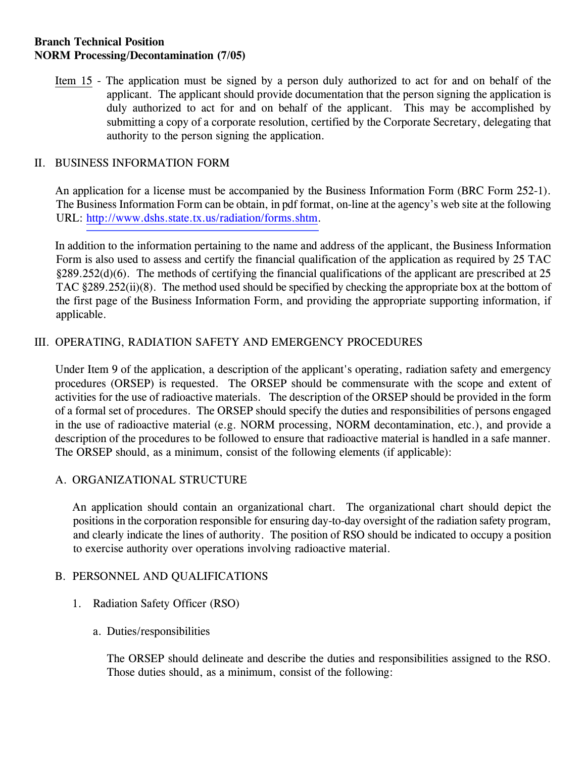Item 15 - The application must be signed by a person duly authorized to act for and on behalf of the applicant. The applicant should provide documentation that the person signing the application is duly authorized to act for and on behalf of the applicant. This may be accomplished by submitting a copy of a corporate resolution, certified by the Corporate Secretary, delegating that authority to the person signing the application.

#### II. BUSINESS INFORMATION FORM

 An application for a license must be accompanied by the Business Information Form (BRC Form 252-1). The Business Information Form can be obtain, in pdf format, on-line at the agency's web site at the following URL: [http://www.dshs.state.tx.us/radiation/forms.shtm.](http://www.dshs.state.tx.us/radiation/forms.shtm)

 In addition to the information pertaining to the name and address of the applicant, the Business Information Form is also used to assess and certify the financial qualification of the application as required by 25 TAC §289.252(d)(6). The methods of certifying the financial qualifications of the applicant are prescribed at 25 TAC §289.252(ii)(8). The method used should be specified by checking the appropriate box at the bottom of the first page of the Business Information Form, and providing the appropriate supporting information, if applicable.

### III. OPERATING, RADIATION SAFETY AND EMERGENCY PROCEDURES

Under Item 9 of the application, a description of the applicant's operating, radiation safety and emergency procedures (ORSEP) is requested. The ORSEP should be commensurate with the scope and extent of activities for the use of radioactive materials. The description of the ORSEP should be provided in the form of a formal set of procedures. The ORSEP should specify the duties and responsibilities of persons engaged in the use of radioactive material (e.g. NORM processing, NORM decontamination, etc.), and provide a description of the procedures to be followed to ensure that radioactive material is handled in a safe manner. The ORSEP should, as a minimum, consist of the following elements (if applicable):

#### A. ORGANIZATIONAL STRUCTURE

 An application should contain an organizational chart. The organizational chart should depict the positions in the corporation responsible for ensuring day-to-day oversight of the radiation safety program, and clearly indicate the lines of authority. The position of RSO should be indicated to occupy a position to exercise authority over operations involving radioactive material.

#### B. PERSONNEL AND QUALIFICATIONS

- 1. Radiation Safety Officer (RSO)
	- a. Duties/responsibilities

The ORSEP should delineate and describe the duties and responsibilities assigned to the RSO. Those duties should, as a minimum, consist of the following: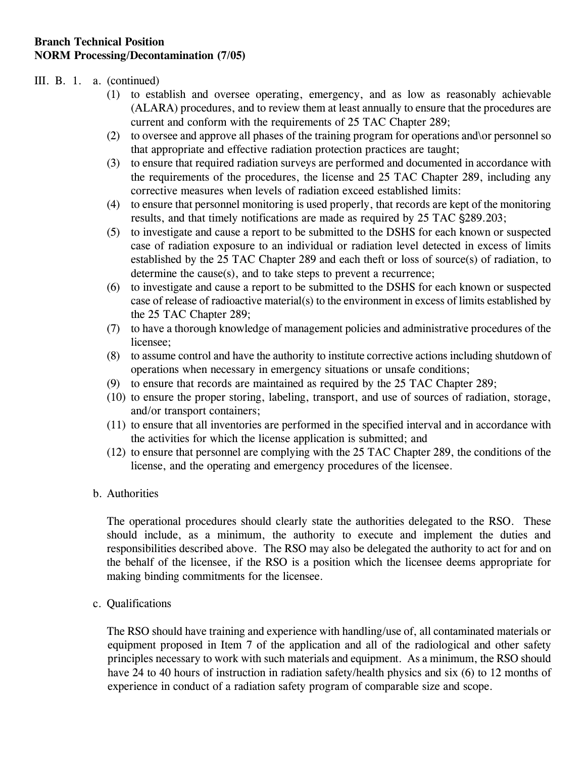#### III. B. 1. a. (continued)

- (1) to establish and oversee operating, emergency, and as low as reasonably achievable (ALARA) procedures, and to review them at least annually to ensure that the procedures are current and conform with the requirements of 25 TAC Chapter 289;
- (2) to oversee and approve all phases of the training program for operations and\or personnel so that appropriate and effective radiation protection practices are taught;
- (3) to ensure that required radiation surveys are performed and documented in accordance with the requirements of the procedures, the license and 25 TAC Chapter 289, including any corrective measures when levels of radiation exceed established limits:
- (4) to ensure that personnel monitoring is used properly, that records are kept of the monitoring results, and that timely notifications are made as required by 25 TAC  $\S$ 289.203;
- (5) to investigate and cause a report to be submitted to the DSHS for each known or suspected case of radiation exposure to an individual or radiation level detected in excess of limits established by the 25 TAC Chapter 289 and each theft or loss of source(s) of radiation, to determine the cause(s), and to take steps to prevent a recurrence;
- (6) to investigate and cause a report to be submitted to the DSHS for each known or suspected case of release of radioactive material(s) to the environment in excess of limits established by the 25 TAC Chapter 289;
- (7) to have a thorough knowledge of management policies and administrative procedures of the licensee;
- (8) to assume control and have the authority to institute corrective actions including shutdown of operations when necessary in emergency situations or unsafe conditions;
- (9) to ensure that records are maintained as required by the 25 TAC Chapter 289;
- (10) to ensure the proper storing, labeling, transport, and use of sources of radiation, storage, and/or transport containers;
- (11) to ensure that all inventories are performed in the specified interval and in accordance with the activities for which the license application is submitted; and
- (12) to ensure that personnel are complying with the 25 TAC Chapter 289, the conditions of the license, and the operating and emergency procedures of the licensee.

#### b. Authorities

The operational procedures should clearly state the authorities delegated to the RSO. These should include, as a minimum, the authority to execute and implement the duties and responsibilities described above. The RSO may also be delegated the authority to act for and on the behalf of the licensee, if the RSO is a position which the licensee deems appropriate for making binding commitments for the licensee.

c. Qualifications

 The RSO should have training and experience with handling/use of, all contaminated materials or equipment proposed in Item 7 of the application and all of the radiological and other safety principles necessary to work with such materials and equipment. As a minimum, the RSO should have 24 to 40 hours of instruction in radiation safety/health physics and six (6) to 12 months of experience in conduct of a radiation safety program of comparable size and scope.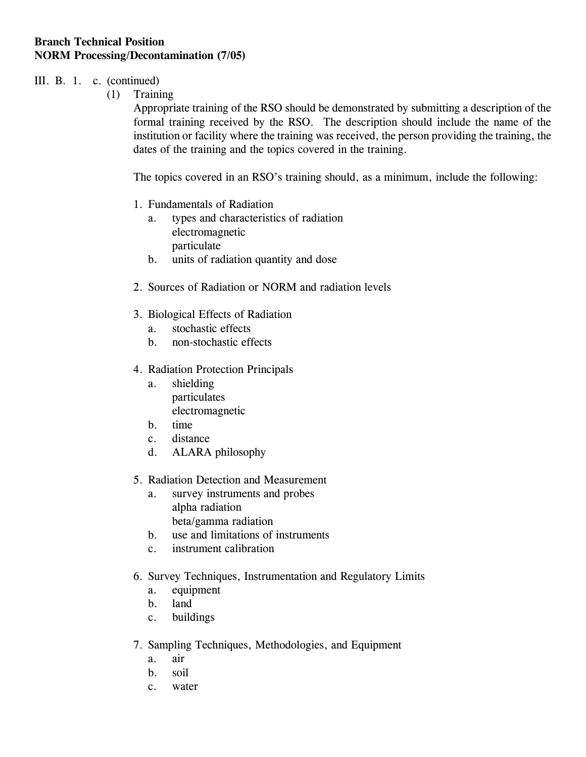#### III. B. 1. c. (continued)

(1) Training

 Appropriate training of the RSO should be demonstrated by submitting a description of the formal training received by the RSO. The description should include the name of the institution or facility where the training was received, the person providing the training, the dates of the training and the topics covered in the training.

The topics covered in an RSO's training should, as a minimum, include the following:

- 1. Fundamentals of Radiation
	- a. types and characteristics of radiation electromagnetic particulate
	- b. units of radiation quantity and dose
- 2. Sources of Radiation or NORM and radiation levels
- 3. Biological Effects of Radiation
	- a. stochastic effects
	- b. non-stochastic effects
- 4. Radiation Protection Principals
	- a. shielding particulates electromagnetic
	- b. time
	- c. distance
	- d. ALARA philosophy
- 5. Radiation Detection and Measurement
	- a. survey instruments and probes alpha radiation beta/gamma radiation
	- b. use and limitations of instruments
	- c. instrument calibration
- 6. Survey Techniques, Instrumentation and Regulatory Limits
	- a. equipment
	- b. land
	- c. buildings
- 7. Sampling Techniques, Methodologies, and Equipment
	- a. air
	- b. soil
	- c. water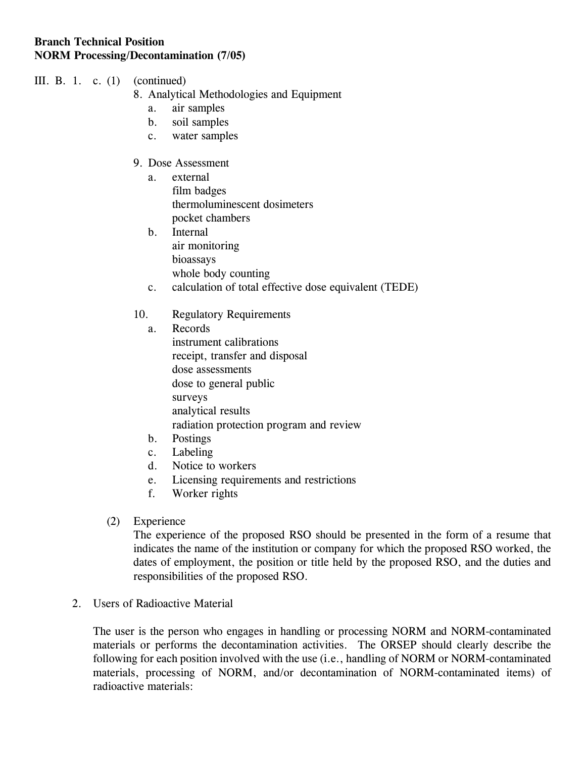- III. B. 1. c. (1) (continued)
	- 8. Analytical Methodologies and Equipment
		- a. air samples
		- b. soil samples
		- c. water samples
	- 9. Dose Assessment
		- a. external film badges thermoluminescent dosimeters pocket chambers
		- b. Internal air monitoring bioassays whole body counting
		- c. calculation of total effective dose equivalent (TEDE)

### 10. Regulatory Requirements

- a. Records instrument calibrations receipt, transfer and disposal dose assessments dose to general public surveys analytical results radiation protection program and review
- b. Postings
- c. Labeling
- d. Notice to workers
- e. Licensing requirements and restrictions
- f. Worker rights
- (2) Experience

 The experience of the proposed RSO should be presented in the form of a resume that indicates the name of the institution or company for which the proposed RSO worked, the dates of employment, the position or title held by the proposed RSO, and the duties and responsibilities of the proposed RSO.

#### 2. Users of Radioactive Material

The user is the person who engages in handling or processing NORM and NORM-contaminated materials or performs the decontamination activities. The ORSEP should clearly describe the following for each position involved with the use (i.e., handling of NORM or NORM-contaminated materials, processing of NORM, and/or decontamination of NORM-contaminated items) of radioactive materials: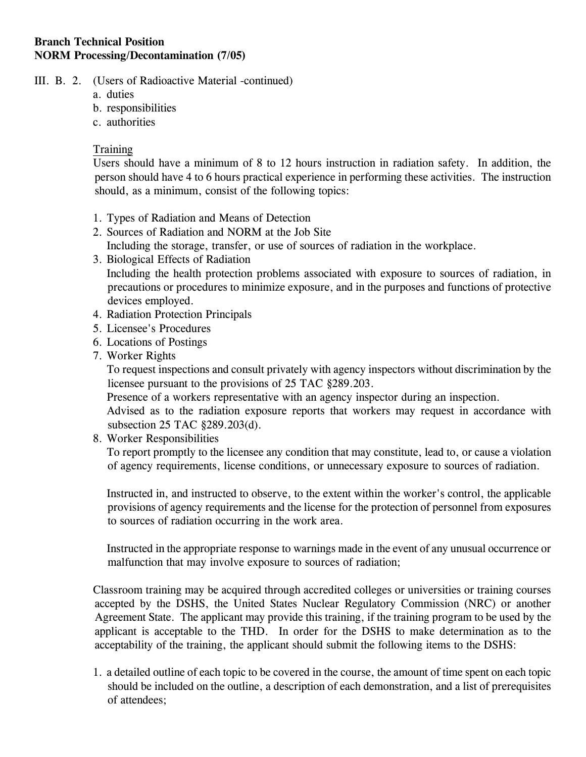- III. B. 2. (Users of Radioactive Material -continued)
	- a. duties
	- b. responsibilities
	- c. authorities

#### **Training**

 Users should have a minimum of 8 to 12 hours instruction in radiation safety. In addition, the person should have 4 to 6 hours practical experience in performing these activities. The instruction should, as a minimum, consist of the following topics:

- 1. Types of Radiation and Means of Detection
- 2. Sources of Radiation and NORM at the Job Site Including the storage, transfer, or use of sources of radiation in the workplace.
- 3. Biological Effects of Radiation Including the health protection problems associated with exposure to sources of radiation, in precautions or procedures to minimize exposure, and in the purposes and functions of protective devices employed.
- 4. Radiation Protection Principals
- 5. Licensee's Procedures
- 6. Locations of Postings
- 7. Worker Rights

 To request inspections and consult privately with agency inspectors without discrimination by the licensee pursuant to the provisions of 25 TAC §289.203.

Presence of a workers representative with an agency inspector during an inspection.

 Advised as to the radiation exposure reports that workers may request in accordance with subsection 25 TAC §289.203(d).

8. Worker Responsibilities

 To report promptly to the licensee any condition that may constitute, lead to, or cause a violation of agency requirements, license conditions, or unnecessary exposure to sources of radiation.

 Instructed in, and instructed to observe, to the extent within the worker's control, the applicable provisions of agency requirements and the license for the protection of personnel from exposures to sources of radiation occurring in the work area.

 Instructed in the appropriate response to warnings made in the event of any unusual occurrence or malfunction that may involve exposure to sources of radiation;

 Classroom training may be acquired through accredited colleges or universities or training courses accepted by the DSHS, the United States Nuclear Regulatory Commission (NRC) or another Agreement State. The applicant may provide this training, if the training program to be used by the applicant is acceptable to the THD. In order for the DSHS to make determination as to the acceptability of the training, the applicant should submit the following items to the DSHS:

 1. a detailed outline of each topic to be covered in the course, the amount of time spent on each topic should be included on the outline, a description of each demonstration, and a list of prerequisites of attendees;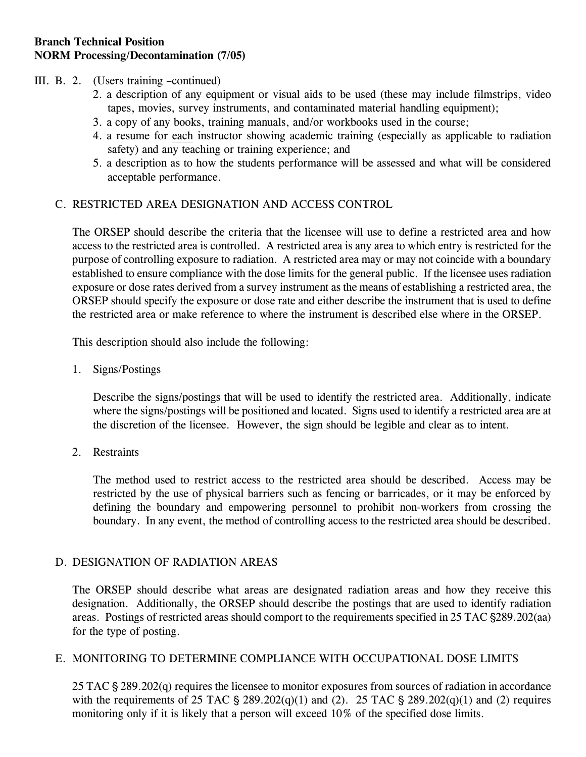#### III. B. 2. (Users training –continued)

- 2. a description of any equipment or visual aids to be used (these may include filmstrips, video tapes, movies, survey instruments, and contaminated material handling equipment);
- 3. a copy of any books, training manuals, and/or workbooks used in the course;
- 4. a resume for each instructor showing academic training (especially as applicable to radiation safety) and any teaching or training experience; and
- 5. a description as to how the students performance will be assessed and what will be considered acceptable performance.

### C. RESTRICTED AREA DESIGNATION AND ACCESS CONTROL

The ORSEP should describe the criteria that the licensee will use to define a restricted area and how access to the restricted area is controlled. A restricted area is any area to which entry is restricted for the purpose of controlling exposure to radiation. A restricted area may or may not coincide with a boundary established to ensure compliance with the dose limits for the general public. If the licensee uses radiation exposure or dose rates derived from a survey instrument as the means of establishing a restricted area, the ORSEP should specify the exposure or dose rate and either describe the instrument that is used to define the restricted area or make reference to where the instrument is described else where in the ORSEP.

This description should also include the following:

1. Signs/Postings

Describe the signs/postings that will be used to identify the restricted area. Additionally, indicate where the signs/postings will be positioned and located. Signs used to identify a restricted area are at the discretion of the licensee. However, the sign should be legible and clear as to intent.

2. Restraints

The method used to restrict access to the restricted area should be described. Access may be restricted by the use of physical barriers such as fencing or barricades, or it may be enforced by defining the boundary and empowering personnel to prohibit non-workers from crossing the boundary. In any event, the method of controlling access to the restricted area should be described.

#### D. DESIGNATION OF RADIATION AREAS

The ORSEP should describe what areas are designated radiation areas and how they receive this designation. Additionally, the ORSEP should describe the postings that are used to identify radiation areas. Postings of restricted areas should comport to the requirements specified in 25 TAC  $\S 289.202(aa)$ for the type of posting.

#### E. MONITORING TO DETERMINE COMPLIANCE WITH OCCUPATIONAL DOSE LIMITS

25 TAC  $\S 289.202(q)$  requires the licensee to monitor exposures from sources of radiation in accordance with the requirements of 25 TAC  $\S$  289.202(q)(1) and (2). 25 TAC  $\S$  289.202(q)(1) and (2) requires monitoring only if it is likely that a person will exceed 10% of the specified dose limits.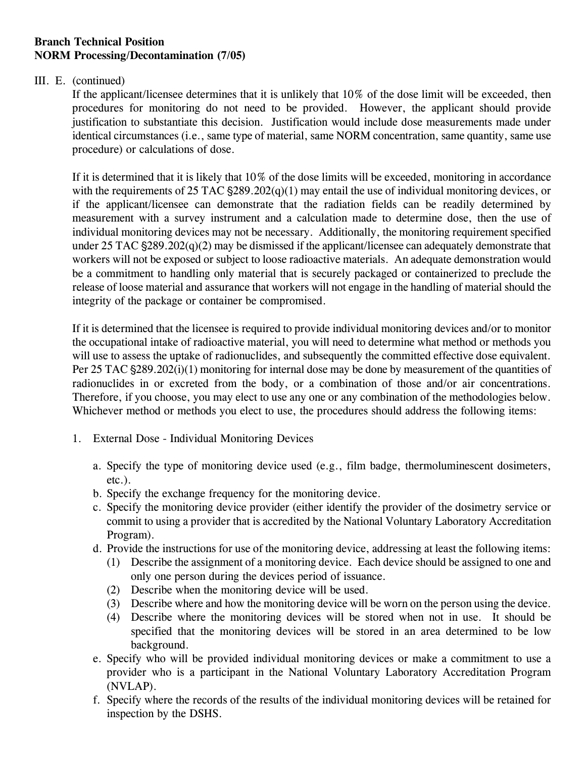#### III. E. (continued)

If the applicant/licensee determines that it is unlikely that 10% of the dose limit will be exceeded, then procedures for monitoring do not need to be provided. However, the applicant should provide justification to substantiate this decision. Justification would include dose measurements made under identical circumstances (i.e., same type of material, same NORM concentration, same quantity, same use procedure) or calculations of dose.

If it is determined that it is likely that 10% of the dose limits will be exceeded, monitoring in accordance with the requirements of 25 TAC  $\S$ 289.202(q)(1) may entail the use of individual monitoring devices, or if the applicant/licensee can demonstrate that the radiation fields can be readily determined by measurement with a survey instrument and a calculation made to determine dose, then the use of individual monitoring devices may not be necessary. Additionally, the monitoring requirement specified under 25 TAC  $\S 289.202(q)(2)$  may be dismissed if the applicant/licensee can adequately demonstrate that workers will not be exposed or subject to loose radioactive materials. An adequate demonstration would be a commitment to handling only material that is securely packaged or containerized to preclude the release of loose material and assurance that workers will not engage in the handling of material should the integrity of the package or container be compromised.

If it is determined that the licensee is required to provide individual monitoring devices and/or to monitor the occupational intake of radioactive material, you will need to determine what method or methods you will use to assess the uptake of radionuclides, and subsequently the committed effective dose equivalent. Per 25 TAC  $\S 289.202(i)(1)$  monitoring for internal dose may be done by measurement of the quantities of radionuclides in or excreted from the body, or a combination of those and/or air concentrations. Therefore, if you choose, you may elect to use any one or any combination of the methodologies below. Whichever method or methods you elect to use, the procedures should address the following items:

- 1. External Dose Individual Monitoring Devices
	- a. Specify the type of monitoring device used (e.g., film badge, thermoluminescent dosimeters, etc.).
	- b. Specify the exchange frequency for the monitoring device.
	- c. Specify the monitoring device provider (either identify the provider of the dosimetry service or commit to using a provider that is accredited by the National Voluntary Laboratory Accreditation Program).
	- d. Provide the instructions for use of the monitoring device, addressing at least the following items:
		- (1) Describe the assignment of a monitoring device. Each device should be assigned to one and only one person during the devices period of issuance.
		- (2) Describe when the monitoring device will be used.
		- (3) Describe where and how the monitoring device will be worn on the person using the device.
		- (4) Describe where the monitoring devices will be stored when not in use. It should be specified that the monitoring devices will be stored in an area determined to be low background.
	- e. Specify who will be provided individual monitoring devices or make a commitment to use a provider who is a participant in the National Voluntary Laboratory Accreditation Program (NVLAP).
	- f. Specify where the records of the results of the individual monitoring devices will be retained for inspection by the DSHS.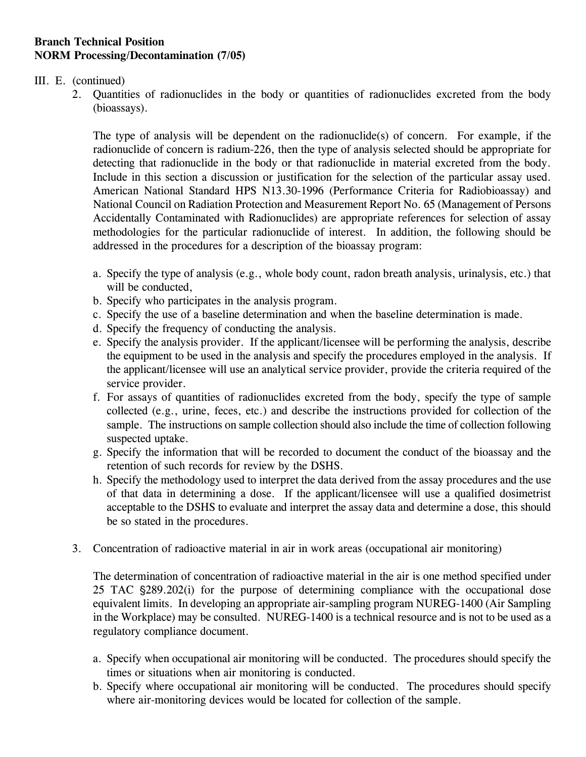#### III. E. (continued)

2. Quantities of radionuclides in the body or quantities of radionuclides excreted from the body (bioassays).

The type of analysis will be dependent on the radionuclide(s) of concern. For example, if the radionuclide of concern is radium-226, then the type of analysis selected should be appropriate for detecting that radionuclide in the body or that radionuclide in material excreted from the body. Include in this section a discussion or justification for the selection of the particular assay used. American National Standard HPS N13.30-1996 (Performance Criteria for Radiobioassay) and National Council on Radiation Protection and Measurement Report No. 65 (Management of Persons Accidentally Contaminated with Radionuclides) are appropriate references for selection of assay methodologies for the particular radionuclide of interest. In addition, the following should be addressed in the procedures for a description of the bioassay program:

- a. Specify the type of analysis (e.g., whole body count, radon breath analysis, urinalysis, etc.) that will be conducted,
- b. Specify who participates in the analysis program.
- c. Specify the use of a baseline determination and when the baseline determination is made.
- d. Specify the frequency of conducting the analysis.
- e. Specify the analysis provider. If the applicant/licensee will be performing the analysis, describe the equipment to be used in the analysis and specify the procedures employed in the analysis. If the applicant/licensee will use an analytical service provider, provide the criteria required of the service provider.
- f. For assays of quantities of radionuclides excreted from the body, specify the type of sample collected (e.g., urine, feces, etc.) and describe the instructions provided for collection of the sample. The instructions on sample collection should also include the time of collection following suspected uptake.
- g. Specify the information that will be recorded to document the conduct of the bioassay and the retention of such records for review by the DSHS.
- h. Specify the methodology used to interpret the data derived from the assay procedures and the use of that data in determining a dose. If the applicant/licensee will use a qualified dosimetrist acceptable to the DSHS to evaluate and interpret the assay data and determine a dose, this should be so stated in the procedures.
- 3. Concentration of radioactive material in air in work areas (occupational air monitoring)

The determination of concentration of radioactive material in the air is one method specified under 25 TAC  $\frac{289.202(i)}{i}$  for the purpose of determining compliance with the occupational dose equivalent limits. In developing an appropriate air-sampling program NUREG-1400 (Air Sampling in the Workplace) may be consulted. NUREG-1400 is a technical resource and is not to be used as a regulatory compliance document.

- a. Specify when occupational air monitoring will be conducted. The procedures should specify the times or situations when air monitoring is conducted.
- b. Specify where occupational air monitoring will be conducted. The procedures should specify where air-monitoring devices would be located for collection of the sample.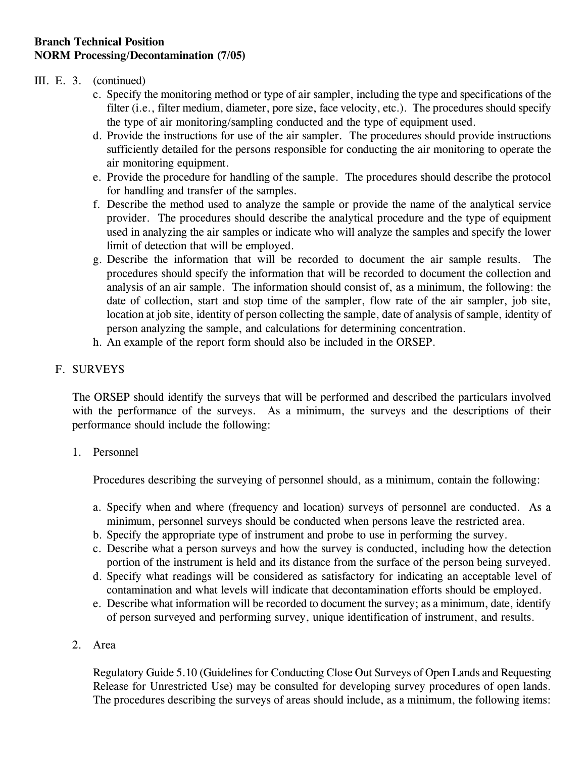### III. E. 3. (continued)

- c. Specify the monitoring method or type of air sampler, including the type and specifications of the filter (i.e., filter medium, diameter, pore size, face velocity, etc.). The procedures should specify the type of air monitoring/sampling conducted and the type of equipment used.
- d. Provide the instructions for use of the air sampler. The procedures should provide instructions sufficiently detailed for the persons responsible for conducting the air monitoring to operate the air monitoring equipment.
- e. Provide the procedure for handling of the sample. The procedures should describe the protocol for handling and transfer of the samples.
- f. Describe the method used to analyze the sample or provide the name of the analytical service provider. The procedures should describe the analytical procedure and the type of equipment used in analyzing the air samples or indicate who will analyze the samples and specify the lower limit of detection that will be employed.
- g. Describe the information that will be recorded to document the air sample results. The procedures should specify the information that will be recorded to document the collection and analysis of an air sample. The information should consist of, as a minimum, the following: the date of collection, start and stop time of the sampler, flow rate of the air sampler, job site, location at job site, identity of person collecting the sample, date of analysis of sample, identity of person analyzing the sample, and calculations for determining concentration.
- h. An example of the report form should also be included in the ORSEP.

### F. SURVEYS

The ORSEP should identify the surveys that will be performed and described the particulars involved with the performance of the surveys. As a minimum, the surveys and the descriptions of their performance should include the following:

#### 1. Personnel

Procedures describing the surveying of personnel should, as a minimum, contain the following:

- a. Specify when and where (frequency and location) surveys of personnel are conducted. As a minimum, personnel surveys should be conducted when persons leave the restricted area.
- b. Specify the appropriate type of instrument and probe to use in performing the survey.
- c. Describe what a person surveys and how the survey is conducted, including how the detection portion of the instrument is held and its distance from the surface of the person being surveyed.
- d. Specify what readings will be considered as satisfactory for indicating an acceptable level of contamination and what levels will indicate that decontamination efforts should be employed.
- e. Describe what information will be recorded to document the survey; as a minimum, date, identify of person surveyed and performing survey, unique identification of instrument, and results.

#### 2. Area

Regulatory Guide 5.10 (Guidelines for Conducting Close Out Surveys of Open Lands and Requesting Release for Unrestricted Use) may be consulted for developing survey procedures of open lands. The procedures describing the surveys of areas should include, as a minimum, the following items: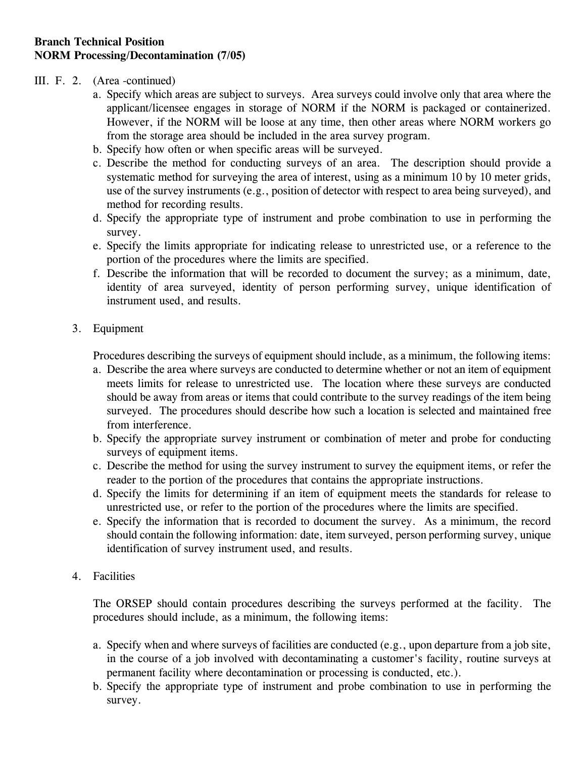#### III. F. 2. (Area -continued)

- a. Specify which areas are subject to surveys. Area surveys could involve only that area where the applicant/licensee engages in storage of NORM if the NORM is packaged or containerized. However, if the NORM will be loose at any time, then other areas where NORM workers go from the storage area should be included in the area survey program.
- b. Specify how often or when specific areas will be surveyed.
- c. Describe the method for conducting surveys of an area. The description should provide a systematic method for surveying the area of interest, using as a minimum 10 by 10 meter grids, use of the survey instruments (e.g., position of detector with respect to area being surveyed), and method for recording results.
- d. Specify the appropriate type of instrument and probe combination to use in performing the survey.
- e. Specify the limits appropriate for indicating release to unrestricted use, or a reference to the portion of the procedures where the limits are specified.
- f. Describe the information that will be recorded to document the survey; as a minimum, date, identity of area surveyed, identity of person performing survey, unique identification of instrument used, and results.
- 3. Equipment

Procedures describing the surveys of equipment should include, as a minimum, the following items:

- a. Describe the area where surveys are conducted to determine whether or not an item of equipment meets limits for release to unrestricted use. The location where these surveys are conducted should be away from areas or items that could contribute to the survey readings of the item being surveyed. The procedures should describe how such a location is selected and maintained free from interference.
- b. Specify the appropriate survey instrument or combination of meter and probe for conducting surveys of equipment items.
- c. Describe the method for using the survey instrument to survey the equipment items, or refer the reader to the portion of the procedures that contains the appropriate instructions.
- d. Specify the limits for determining if an item of equipment meets the standards for release to unrestricted use, or refer to the portion of the procedures where the limits are specified.
- e. Specify the information that is recorded to document the survey. As a minimum, the record should contain the following information: date, item surveyed, person performing survey, unique identification of survey instrument used, and results.
- 4. Facilities

The ORSEP should contain procedures describing the surveys performed at the facility. The procedures should include, as a minimum, the following items:

- a. Specify when and where surveys of facilities are conducted (e.g., upon departure from a job site, in the course of a job involved with decontaminating a customer's facility, routine surveys at permanent facility where decontamination or processing is conducted, etc.).
- b. Specify the appropriate type of instrument and probe combination to use in performing the survey.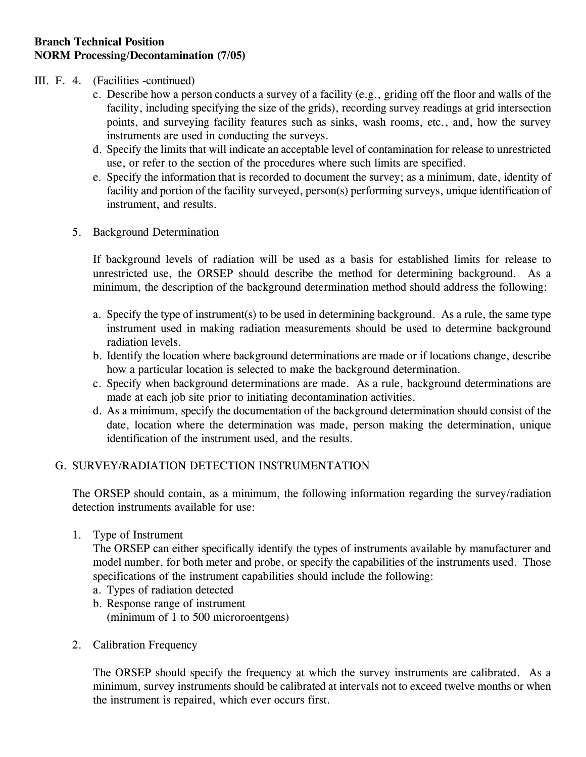#### III. F. 4. (Facilities -continued)

- c. Describe how a person conducts a survey of a facility (e.g., griding off the floor and walls of the facility, including specifying the size of the grids), recording survey readings at grid intersection points, and surveying facility features such as sinks, wash rooms, etc., and, how the survey instruments are used in conducting the surveys.
- d. Specify the limits that will indicate an acceptable level of contamination for release to unrestricted use, or refer to the section of the procedures where such limits are specified.
- e. Specify the information that is recorded to document the survey; as a minimum, date, identity of facility and portion of the facility surveyed, person(s) performing surveys, unique identification of instrument, and results.
- 5. Background Determination

If background levels of radiation will be used as a basis for established limits for release to unrestricted use, the ORSEP should describe the method for determining background. As a minimum, the description of the background determination method should address the following:

- a. Specify the type of instrument(s) to be used in determining background. As a rule, the same type instrument used in making radiation measurements should be used to determine background radiation levels.
- b. Identify the location where background determinations are made or if locations change, describe how a particular location is selected to make the background determination.
- c. Specify when background determinations are made. As a rule, background determinations are made at each job site prior to initiating decontamination activities.
- d. As a minimum, specify the documentation of the background determination should consist of the date, location where the determination was made, person making the determination, unique identification of the instrument used, and the results.

## G. SURVEY/RADIATION DETECTION INSTRUMENTATION

The ORSEP should contain, as a minimum, the following information regarding the survey/radiation detection instruments available for use:

1. Type of Instrument

The ORSEP can either specifically identify the types of instruments available by manufacturer and model number, for both meter and probe, or specify the capabilities of the instruments used. Those specifications of the instrument capabilities should include the following:

- a. Types of radiation detected
- b. Response range of instrument (minimum of 1 to 500 microroentgens)
- 2. Calibration Frequency

The ORSEP should specify the frequency at which the survey instruments are calibrated. As a minimum, survey instruments should be calibrated at intervals not to exceed twelve months or when the instrument is repaired, which ever occurs first.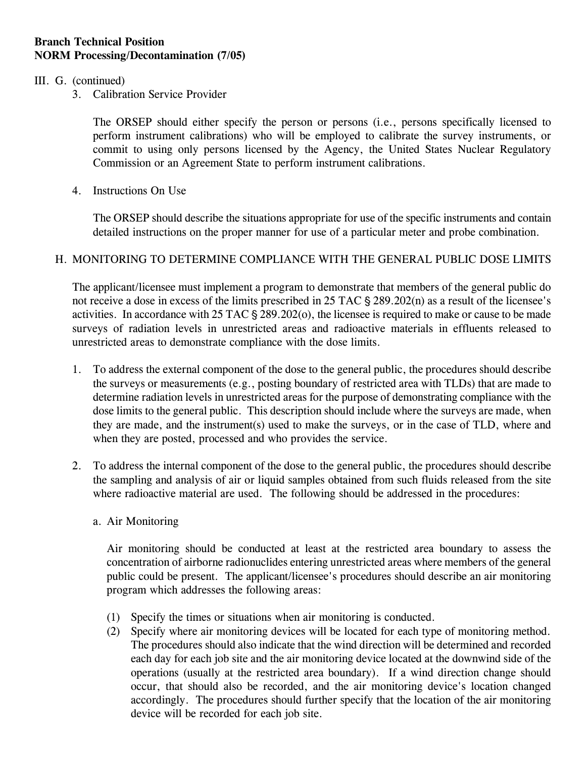#### III. G. (continued)

3. Calibration Service Provider

The ORSEP should either specify the person or persons (i.e., persons specifically licensed to perform instrument calibrations) who will be employed to calibrate the survey instruments, or commit to using only persons licensed by the Agency, the United States Nuclear Regulatory Commission or an Agreement State to perform instrument calibrations.

4. Instructions On Use

The ORSEP should describe the situations appropriate for use of the specific instruments and contain detailed instructions on the proper manner for use of a particular meter and probe combination.

### H. MONITORING TO DETERMINE COMPLIANCE WITH THE GENERAL PUBLIC DOSE LIMITS

The applicant/licensee must implement a program to demonstrate that members of the general public do not receive a dose in excess of the limits prescribed in  $25$  TAC  $\S$   $289.202(n)$  as a result of the licensee's activities. In accordance with  $25 \text{ TAC } \frac{6}{5} \cdot 289.202(0)$ , the licensee is required to make or cause to be made surveys of radiation levels in unrestricted areas and radioactive materials in effluents released to unrestricted areas to demonstrate compliance with the dose limits.

- 1. To address the external component of the dose to the general public, the procedures should describe the surveys or measurements (e.g., posting boundary of restricted area with TLDs) that are made to determine radiation levels in unrestricted areas for the purpose of demonstrating compliance with the dose limits to the general public. This description should include where the surveys are made, when they are made, and the instrument(s) used to make the surveys, or in the case of TLD, where and when they are posted, processed and who provides the service.
- 2. To address the internal component of the dose to the general public, the procedures should describe the sampling and analysis of air or liquid samples obtained from such fluids released from the site where radioactive material are used. The following should be addressed in the procedures:
	- a. Air Monitoring

Air monitoring should be conducted at least at the restricted area boundary to assess the concentration of airborne radionuclides entering unrestricted areas where members of the general public could be present. The applicant/licensee's procedures should describe an air monitoring program which addresses the following areas:

- (1) Specify the times or situations when air monitoring is conducted.
- (2) Specify where air monitoring devices will be located for each type of monitoring method. The procedures should also indicate that the wind direction will be determined and recorded each day for each job site and the air monitoring device located at the downwind side of the operations (usually at the restricted area boundary). If a wind direction change should occur, that should also be recorded, and the air monitoring device's location changed accordingly. The procedures should further specify that the location of the air monitoring device will be recorded for each job site.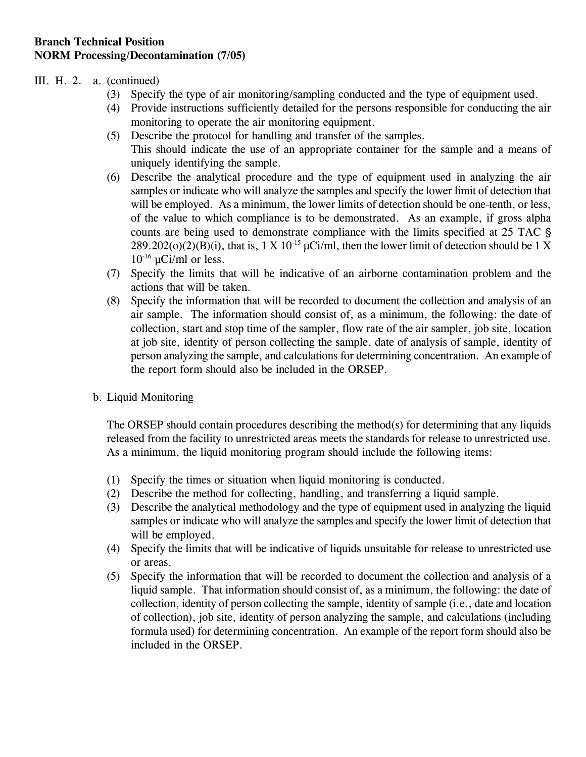### III. H. 2. a. (continued)

- (3) Specify the type of air monitoring/sampling conducted and the type of equipment used.
- (4) Provide instructions sufficiently detailed for the persons responsible for conducting the air monitoring to operate the air monitoring equipment.
- (5) Describe the protocol for handling and transfer of the samples. This should indicate the use of an appropriate container for the sample and a means of uniquely identifying the sample.
- (6) Describe the analytical procedure and the type of equipment used in analyzing the air samples or indicate who will analyze the samples and specify the lower limit of detection that will be employed. As a minimum, the lower limits of detection should be one-tenth, or less, of the value to which compliance is to be demonstrated. As an example, if gross alpha counts are being used to demonstrate compliance with the limits specified at 25 TAC  $\frac{1}{5}$ 289.202(o)(2)(B)(i), that is,  $1 \text{ X } 10^{-15} \mu \text{Ci/ml}$ , then the lower limit of detection should be 1 X  $10^{-16}$  µCi/ml or less.
- (7) Specify the limits that will be indicative of an airborne contamination problem and the actions that will be taken.
- (8) Specify the information that will be recorded to document the collection and analysis of an air sample. The information should consist of, as a minimum, the following: the date of collection, start and stop time of the sampler, flow rate of the air sampler, job site, location at job site, identity of person collecting the sample, date of analysis of sample, identity of person analyzing the sample, and calculations for determining concentration. An example of the report form should also be included in the ORSEP.
- b. Liquid Monitoring

The ORSEP should contain procedures describing the method(s) for determining that any liquids released from the facility to unrestricted areas meets the standards for release to unrestricted use. As a minimum, the liquid monitoring program should include the following items:

- (1) Specify the times or situation when liquid monitoring is conducted.
- (2) Describe the method for collecting, handling, and transferring a liquid sample.
- (3) Describe the analytical methodology and the type of equipment used in analyzing the liquid samples or indicate who will analyze the samples and specify the lower limit of detection that will be employed.
- (4) Specify the limits that will be indicative of liquids unsuitable for release to unrestricted use or areas.
- (5) Specify the information that will be recorded to document the collection and analysis of a liquid sample. That information should consist of, as a minimum, the following: the date of collection, identity of person collecting the sample, identity of sample (i.e., date and location of collection), job site, identity of person analyzing the sample, and calculations (including formula used) for determining concentration. An example of the report form should also be included in the ORSEP.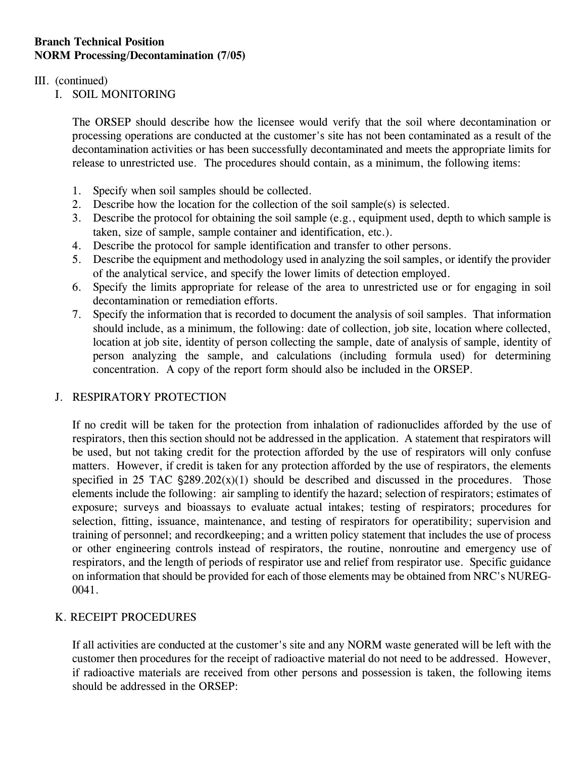#### III. (continued)

I. SOIL MONITORING

The ORSEP should describe how the licensee would verify that the soil where decontamination or processing operations are conducted at the customer's site has not been contaminated as a result of the decontamination activities or has been successfully decontaminated and meets the appropriate limits for release to unrestricted use. The procedures should contain, as a minimum, the following items:

- 1. Specify when soil samples should be collected.
- 2. Describe how the location for the collection of the soil sample(s) is selected.
- 3. Describe the protocol for obtaining the soil sample (e.g., equipment used, depth to which sample is taken, size of sample, sample container and identification, etc.).
- 4. Describe the protocol for sample identification and transfer to other persons.
- 5. Describe the equipment and methodology used in analyzing the soil samples, or identify the provider of the analytical service, and specify the lower limits of detection employed.
- 6. Specify the limits appropriate for release of the area to unrestricted use or for engaging in soil decontamination or remediation efforts.
- 7. Specify the information that is recorded to document the analysis of soil samples. That information should include, as a minimum, the following: date of collection, job site, location where collected, location at job site, identity of person collecting the sample, date of analysis of sample, identity of person analyzing the sample, and calculations (including formula used) for determining concentration. A copy of the report form should also be included in the ORSEP.

## J. RESPIRATORY PROTECTION

If no credit will be taken for the protection from inhalation of radionuclides afforded by the use of respirators, then this section should not be addressed in the application. A statement that respirators will be used, but not taking credit for the protection afforded by the use of respirators will only confuse matters. However, if credit is taken for any protection afforded by the use of respirators, the elements specified in 25 TAC  $\frac{289.202(x)}{1}$  should be described and discussed in the procedures. Those elements include the following: air sampling to identify the hazard; selection of respirators; estimates of exposure; surveys and bioassays to evaluate actual intakes; testing of respirators; procedures for selection, fitting, issuance, maintenance, and testing of respirators for operatibility; supervision and training of personnel; and recordkeeping; and a written policy statement that includes the use of process or other engineering controls instead of respirators, the routine, nonroutine and emergency use of respirators, and the length of periods of respirator use and relief from respirator use. Specific guidance on information that should be provided for each of those elements may be obtained from NRC's NUREG-0041.

## K. RECEIPT PROCEDURES

If all activities are conducted at the customer's site and any NORM waste generated will be left with the customer then procedures for the receipt of radioactive material do not need to be addressed. However, if radioactive materials are received from other persons and possession is taken, the following items should be addressed in the ORSEP: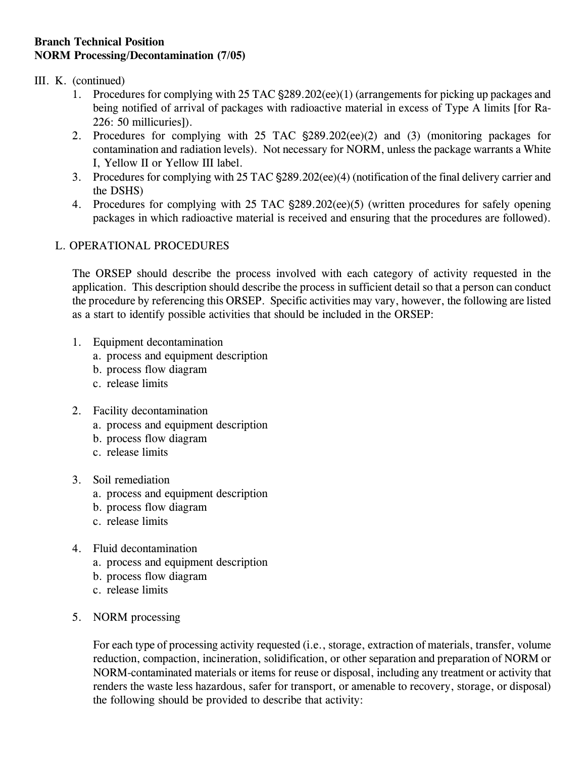#### III. K. (continued)

- 1. Procedures for complying with 25 TAC  $\S 289.202$  (ee)(1) (arrangements for picking up packages and being notified of arrival of packages with radioactive material in excess of Type A limits [for Ra-226: 50 millicuries]).
- 2. Procedures for complying with 25 TAC  $\S 289.202$ (ee)(2) and (3) (monitoring packages for contamination and radiation levels). Not necessary for NORM, unless the package warrants a White I, Yellow II or Yellow III label.
- 3. Procedures for complying with 25 TAC  $\S 289.202$  (ee)(4) (notification of the final delivery carrier and the DSHS)
- 4. Procedures for complying with 25 TAC  $\S289.202$ (ee)(5) (written procedures for safely opening packages in which radioactive material is received and ensuring that the procedures are followed).

### L. OPERATIONAL PROCEDURES

The ORSEP should describe the process involved with each category of activity requested in the application. This description should describe the process in sufficient detail so that a person can conduct the procedure by referencing this ORSEP. Specific activities may vary, however, the following are listed as a start to identify possible activities that should be included in the ORSEP:

- 1. Equipment decontamination
	- a. process and equipment description
	- b. process flow diagram
	- c. release limits
- 2. Facility decontamination
	- a. process and equipment description
	- b. process flow diagram
	- c. release limits
- 3. Soil remediation
	- a. process and equipment description
	- b. process flow diagram
	- c. release limits
- 4. Fluid decontamination
	- a. process and equipment description
	- b. process flow diagram
	- c. release limits
- 5. NORM processing

For each type of processing activity requested (i.e., storage, extraction of materials, transfer, volume reduction, compaction, incineration, solidification, or other separation and preparation of NORM or NORM-contaminated materials or items for reuse or disposal, including any treatment or activity that renders the waste less hazardous, safer for transport, or amenable to recovery, storage, or disposal) the following should be provided to describe that activity: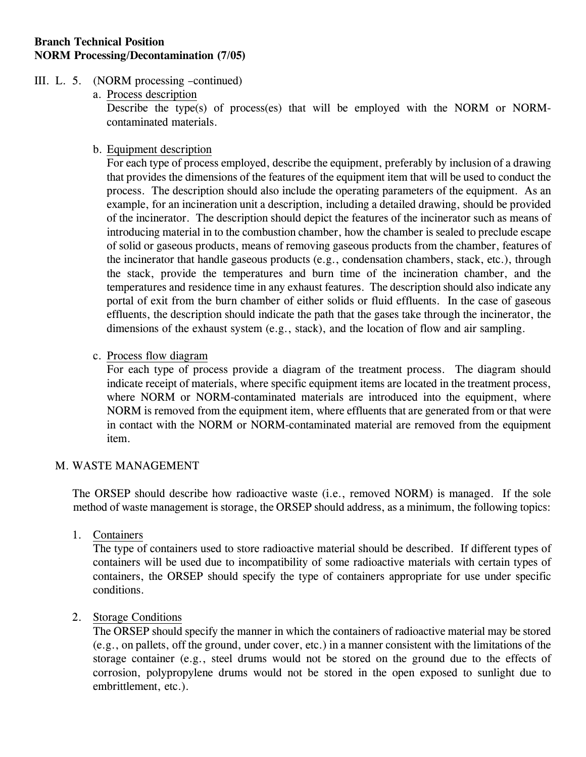- III. L. 5. (NORM processing –continued)
	- a. Process description

Describe the type(s) of process(es) that will be employed with the NORM or NORMcontaminated materials.

b. Equipment description

For each type of process employed, describe the equipment, preferably by inclusion of a drawing that provides the dimensions of the features of the equipment item that will be used to conduct the process. The description should also include the operating parameters of the equipment. As an example, for an incineration unit a description, including a detailed drawing, should be provided of the incinerator. The description should depict the features of the incinerator such as means of introducing material in to the combustion chamber, how the chamber is sealed to preclude escape of solid or gaseous products, means of removing gaseous products from the chamber, features of the incinerator that handle gaseous products (e.g., condensation chambers, stack, etc.), through the stack, provide the temperatures and burn time of the incineration chamber, and the temperatures and residence time in any exhaust features. The description should also indicate any portal of exit from the burn chamber of either solids or fluid effluents. In the case of gaseous effluents, the description should indicate the path that the gases take through the incinerator, the dimensions of the exhaust system (e.g., stack), and the location of flow and air sampling.

c. Process flow diagram

For each type of process provide a diagram of the treatment process. The diagram should indicate receipt of materials, where specific equipment items are located in the treatment process, where NORM or NORM-contaminated materials are introduced into the equipment, where NORM is removed from the equipment item, where effluents that are generated from or that were in contact with the NORM or NORM-contaminated material are removed from the equipment item.

#### M. WASTE MANAGEMENT

 The ORSEP should describe how radioactive waste (i.e., removed NORM) is managed. If the sole method of waste management is storage, the ORSEP should address, as a minimum, the following topics:

1. Containers

The type of containers used to store radioactive material should be described. If different types of containers will be used due to incompatibility of some radioactive materials with certain types of containers, the ORSEP should specify the type of containers appropriate for use under specific conditions.

#### 2. Storage Conditions

The ORSEP should specify the manner in which the containers of radioactive material may be stored (e.g., on pallets, off the ground, under cover, etc.) in a manner consistent with the limitations of the storage container (e.g., steel drums would not be stored on the ground due to the effects of corrosion, polypropylene drums would not be stored in the open exposed to sunlight due to embrittlement, etc.).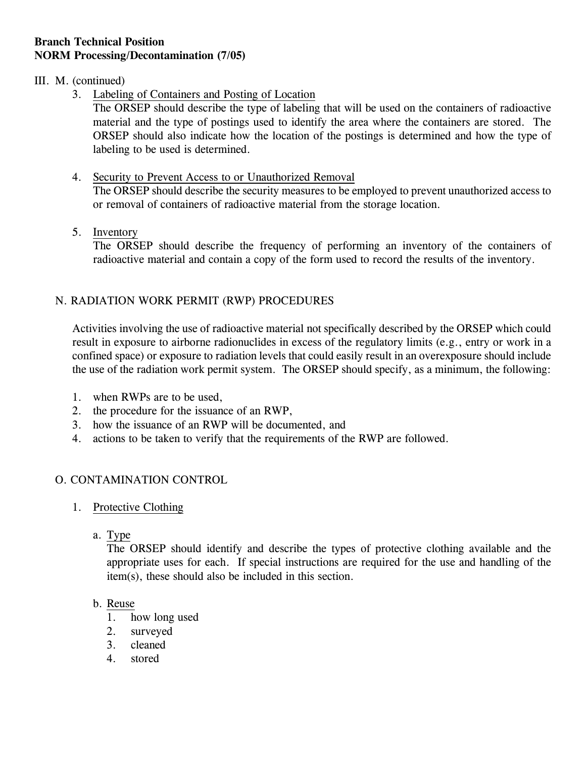### III. M. (continued)

3. Labeling of Containers and Posting of Location

The ORSEP should describe the type of labeling that will be used on the containers of radioactive material and the type of postings used to identify the area where the containers are stored. The ORSEP should also indicate how the location of the postings is determined and how the type of labeling to be used is determined.

- 4. Security to Prevent Access to or Unauthorized Removal The ORSEP should describe the security measures to be employed to prevent unauthorized access to or removal of containers of radioactive material from the storage location.
- 5. Inventory

The ORSEP should describe the frequency of performing an inventory of the containers of radioactive material and contain a copy of the form used to record the results of the inventory.

## N. RADIATION WORK PERMIT (RWP) PROCEDURES

Activities involving the use of radioactive material not specifically described by the ORSEP which could result in exposure to airborne radionuclides in excess of the regulatory limits (e.g., entry or work in a confined space) or exposure to radiation levels that could easily result in an overexposure should include the use of the radiation work permit system. The ORSEP should specify, as a minimum, the following:

- 1. when RWPs are to be used,
- 2. the procedure for the issuance of an RWP,
- 3. how the issuance of an RWP will be documented, and
- 4. actions to be taken to verify that the requirements of the RWP are followed.

## O. CONTAMINATION CONTROL

- 1. Protective Clothing
	- a. Type

The ORSEP should identify and describe the types of protective clothing available and the appropriate uses for each. If special instructions are required for the use and handling of the item(s), these should also be included in this section.

#### b. Reuse

- 1. how long used
- 2. surveyed
- 3. cleaned
- 4. stored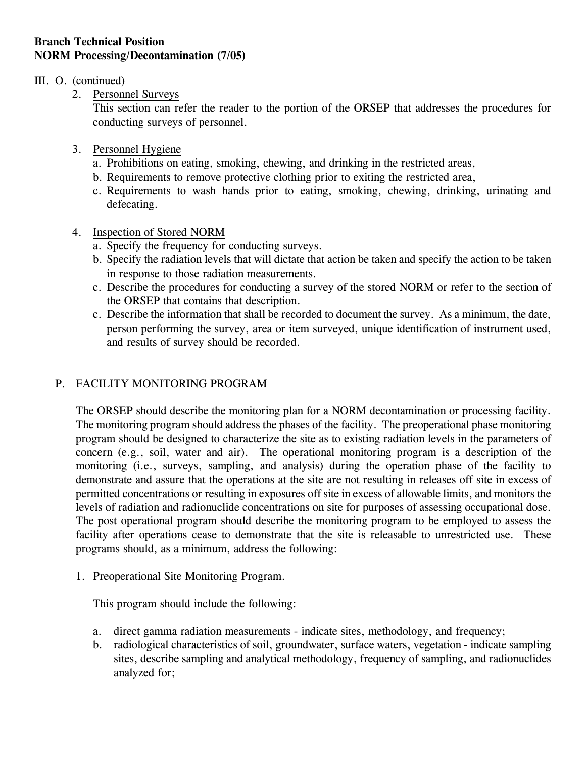#### III. O. (continued)

2. Personnel Surveys

This section can refer the reader to the portion of the ORSEP that addresses the procedures for conducting surveys of personnel.

- 3. Personnel Hygiene
	- a. Prohibitions on eating, smoking, chewing, and drinking in the restricted areas,
	- b. Requirements to remove protective clothing prior to exiting the restricted area,
	- c. Requirements to wash hands prior to eating, smoking, chewing, drinking, urinating and defecating.
- 4. Inspection of Stored NORM
	- a. Specify the frequency for conducting surveys.
	- b. Specify the radiation levels that will dictate that action be taken and specify the action to be taken in response to those radiation measurements.
	- c. Describe the procedures for conducting a survey of the stored NORM or refer to the section of the ORSEP that contains that description.
	- c. Describe the information that shall be recorded to document the survey. As a minimum, the date, person performing the survey, area or item surveyed, unique identification of instrument used, and results of survey should be recorded.

## P. FACILITY MONITORING PROGRAM

The ORSEP should describe the monitoring plan for a NORM decontamination or processing facility. The monitoring program should address the phases of the facility. The preoperational phase monitoring program should be designed to characterize the site as to existing radiation levels in the parameters of concern (e.g., soil, water and air). The operational monitoring program is a description of the monitoring (i.e., surveys, sampling, and analysis) during the operation phase of the facility to demonstrate and assure that the operations at the site are not resulting in releases off site in excess of permitted concentrations or resulting in exposures off site in excess of allowable limits, and monitors the levels of radiation and radionuclide concentrations on site for purposes of assessing occupational dose. The post operational program should describe the monitoring program to be employed to assess the facility after operations cease to demonstrate that the site is releasable to unrestricted use. These programs should, as a minimum, address the following:

1. Preoperational Site Monitoring Program.

This program should include the following:

- a. direct gamma radiation measurements indicate sites, methodology, and frequency;
- b. radiological characteristics of soil, groundwater, surface waters, vegetation indicate sampling sites, describe sampling and analytical methodology, frequency of sampling, and radionuclides analyzed for;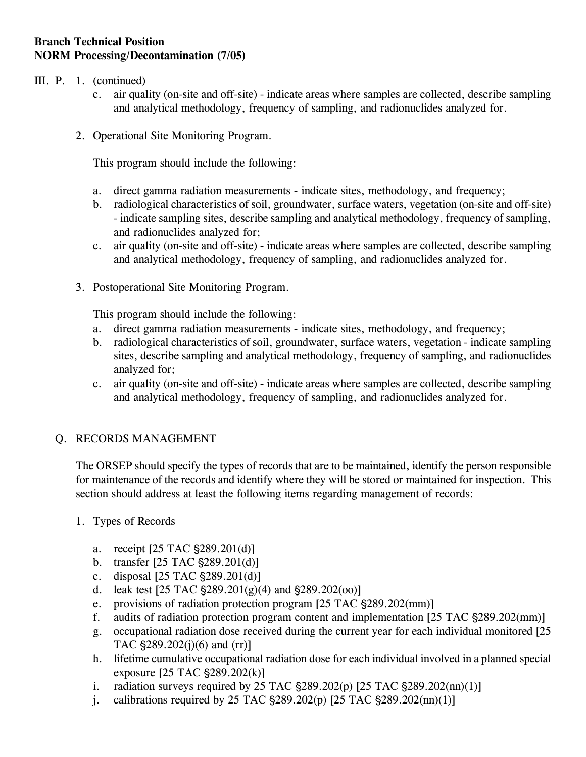- III. P. 1. (continued)
	- c. air quality (on-site and off-site) indicate areas where samples are collected, describe sampling and analytical methodology, frequency of sampling, and radionuclides analyzed for.
	- 2. Operational Site Monitoring Program.

This program should include the following:

- a. direct gamma radiation measurements indicate sites, methodology, and frequency;
- b. radiological characteristics of soil, groundwater, surface waters, vegetation (on-site and off-site) - indicate sampling sites, describe sampling and analytical methodology, frequency of sampling, and radionuclides analyzed for;
- c. air quality (on-site and off-site) indicate areas where samples are collected, describe sampling and analytical methodology, frequency of sampling, and radionuclides analyzed for.
- 3. Postoperational Site Monitoring Program.

This program should include the following:

- a. direct gamma radiation measurements indicate sites, methodology, and frequency;
- b. radiological characteristics of soil, groundwater, surface waters, vegetation indicate sampling sites, describe sampling and analytical methodology, frequency of sampling, and radionuclides analyzed for;
- c. air quality (on-site and off-site) indicate areas where samples are collected, describe sampling and analytical methodology, frequency of sampling, and radionuclides analyzed for.

## Q. RECORDS MANAGEMENT

The ORSEP should specify the types of records that are to be maintained, identify the person responsible for maintenance of the records and identify where they will be stored or maintained for inspection. This section should address at least the following items regarding management of records:

- 1. Types of Records
	- a. receipt  $[25 \text{ TAC } $289.201(d)]$
	- b. transfer  $[25 \text{ TAC } $289.201(d)]$
	- c. disposal  $[25 \text{ TAC } $289.201(d)]$
	- d. leak test  $[25 \text{ TAC } \text{\$}289.201(g)(4)$  and  $\text{\$}289.202(oo)]$
	- e. provisions of radiation protection program  $[25 \text{ TAC } $289.202 \text{(mm)}]$
	- f. audits of radiation protection program content and implementation  $[25 \text{ TAC } $289.202 \text{(mm)}]$
	- g. occupational radiation dose received during the current year for each individual monitored [25 TAC  $$289.202(i)(6)$  and  $(rr)$ ]
	- h. lifetime cumulative occupational radiation dose for each individual involved in a planned special exposure  $[25 \text{ TAC } $289.202(k)]$
	- i. radiation surveys required by 25 TAC  $\S$ 289.202(p) [25 TAC  $\S$ 289.202(nn)(1)]
	- j. calibrations required by 25 TAC  $\S 289.202(p)$  [25 TAC  $\S 289.202(nn)(1)$ ]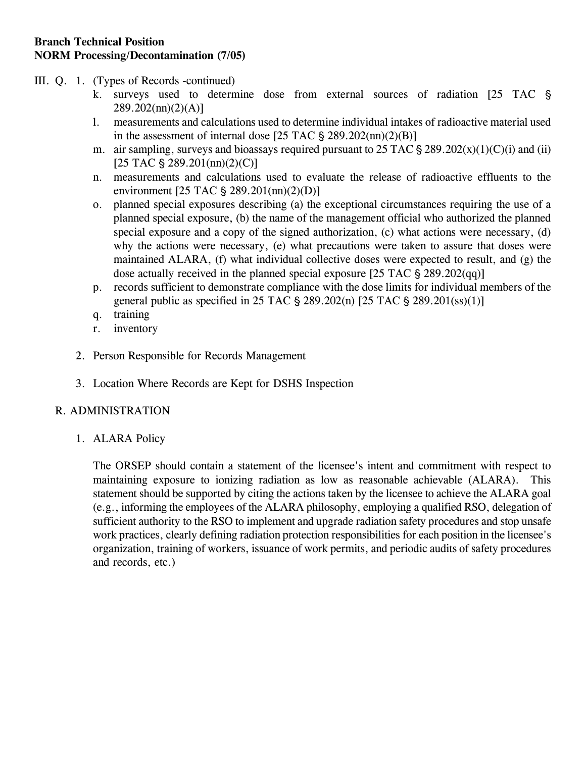- III. Q. 1. (Types of Records -continued)
	- k. surveys used to determine dose from external sources of radiation [25 TAC  $\S$  $289.202$ (nn)(2)(A)]
	- l. measurements and calculations used to determine individual intakes of radioactive material used in the assessment of internal dose  $[25 \text{ TAC } \text{\$} 289.202 \text{(nn)}(2)(B)]$
	- m. air sampling, surveys and bioassays required pursuant to  $25$  TAC  $\frac{6}{5}$   $289.202(x)(1)(C)(i)$  and (ii)  $[25 \text{ TAC } $ 289.201 \text{(nn)}(2) \text{(C)}]$
	- n. measurements and calculations used to evaluate the release of radioactive effluents to the environment  $[25 \text{ TAC } § 289.201 \text{(nn)}(2)$ (D)]
	- o. planned special exposures describing (a) the exceptional circumstances requiring the use of a planned special exposure, (b) the name of the management official who authorized the planned special exposure and a copy of the signed authorization, (c) what actions were necessary, (d) why the actions were necessary, (e) what precautions were taken to assure that doses were maintained ALARA, (f) what individual collective doses were expected to result, and (g) the dose actually received in the planned special exposure  $[25 \text{ TAC } \text{\$} 289.202(qq)]$
	- p. records sufficient to demonstrate compliance with the dose limits for individual members of the general public as specified in 25 TAC  $\S$  289.202(n) [25 TAC  $\S$  289.201(ss)(1)]
	- q. training
	- r. inventory
	- 2. Person Responsible for Records Management
	- 3. Location Where Records are Kept for DSHS Inspection

## R. ADMINISTRATION

1. ALARA Policy

The ORSEP should contain a statement of the licensee's intent and commitment with respect to maintaining exposure to ionizing radiation as low as reasonable achievable (ALARA). This statement should be supported by citing the actions taken by the licensee to achieve the ALARA goal (e.g., informing the employees of the ALARA philosophy, employing a qualified RSO, delegation of sufficient authority to the RSO to implement and upgrade radiation safety procedures and stop unsafe work practices, clearly defining radiation protection responsibilities for each position in the licensee's organization, training of workers, issuance of work permits, and periodic audits of safety procedures and records, etc.)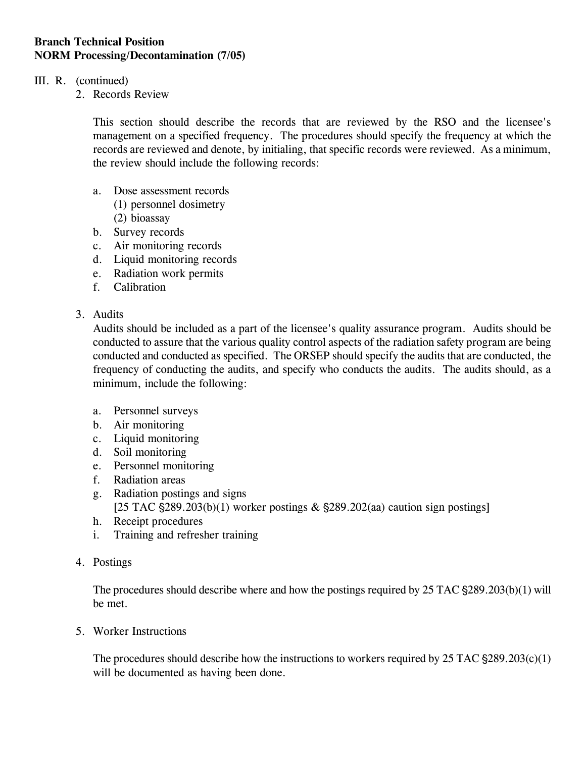### III. R. (continued)

2. Records Review

This section should describe the records that are reviewed by the RSO and the licensee's management on a specified frequency. The procedures should specify the frequency at which the records are reviewed and denote, by initialing, that specific records were reviewed. As a minimum, the review should include the following records:

- a. Dose assessment records
	- (1) personnel dosimetry
	- (2) bioassay
- b. Survey records
- c. Air monitoring records
- d. Liquid monitoring records
- e. Radiation work permits
- f. Calibration
- 3. Audits

Audits should be included as a part of the licensee's quality assurance program. Audits should be conducted to assure that the various quality control aspects of the radiation safety program are being conducted and conducted as specified. The ORSEP should specify the audits that are conducted, the frequency of conducting the audits, and specify who conducts the audits. The audits should, as a minimum, include the following:

- a. Personnel surveys
- b. Air monitoring
- c. Liquid monitoring
- d. Soil monitoring
- e. Personnel monitoring
- f. Radiation areas
- g. Radiation postings and signs [25 TAC  $\S 289.203(b)(1)$  worker postings &  $\S 289.202(aa)$  caution sign postings]
- h. Receipt procedures
- i. Training and refresher training
- 4. Postings

The procedures should describe where and how the postings required by  $25$  TAC  $\S$ 289.203(b)(1) will be met.

5. Worker Instructions

The procedures should describe how the instructions to workers required by  $25$  TAC  $\S$ 289.203(c)(1) will be documented as having been done.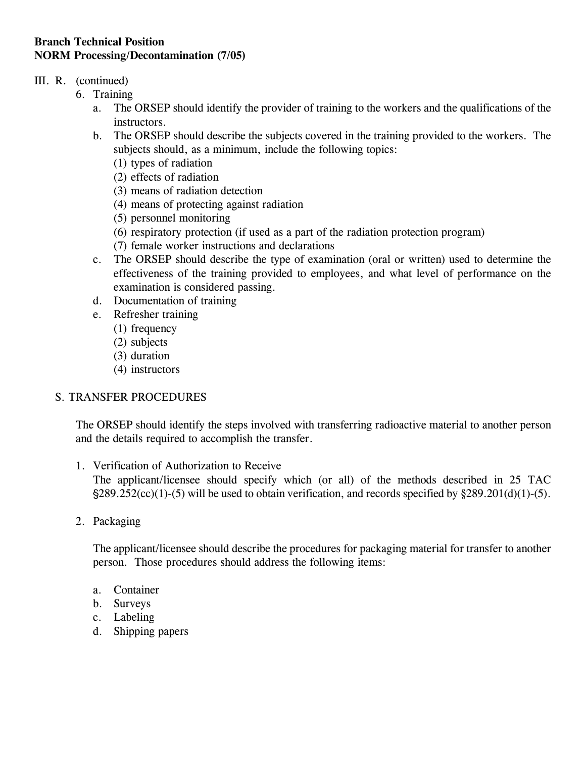## III. R. (continued)

- 6. Training
	- a. The ORSEP should identify the provider of training to the workers and the qualifications of the instructors.
	- b. The ORSEP should describe the subjects covered in the training provided to the workers. The subjects should, as a minimum, include the following topics:
		- (1) types of radiation
		- (2) effects of radiation
		- (3) means of radiation detection
		- (4) means of protecting against radiation
		- (5) personnel monitoring
		- (6) respiratory protection (if used as a part of the radiation protection program)
		- (7) female worker instructions and declarations
	- c. The ORSEP should describe the type of examination (oral or written) used to determine the effectiveness of the training provided to employees, and what level of performance on the examination is considered passing.
	- d. Documentation of training
	- e. Refresher training
		- (1) frequency
		- (2) subjects
		- (3) duration
		- (4) instructors

# S. TRANSFER PROCEDURES

The ORSEP should identify the steps involved with transferring radioactive material to another person and the details required to accomplish the transfer.

1. Verification of Authorization to Receive

The applicant/licensee should specify which (or all) of the methods described in 25 TAC  $\frac{289.252(cc)(1)-(5)}{289.252(cc)(1)-(5)}$  will be used to obtain verification, and records specified by  $\frac{289.201(d)(1)-(5)}{289.201(d)(1)-(5)}$ .

2. Packaging

The applicant/licensee should describe the procedures for packaging material for transfer to another person. Those procedures should address the following items:

- a. Container
- b. Surveys
- c. Labeling
- d. Shipping papers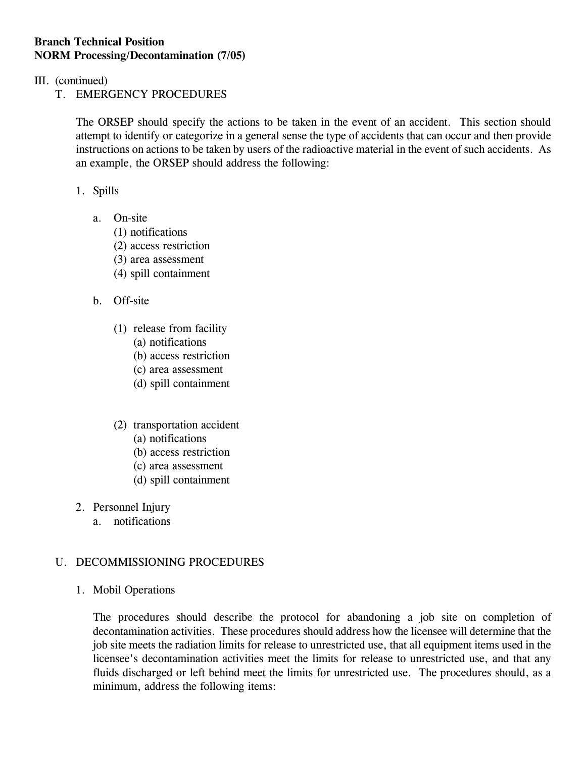- III. (continued)
	- T. EMERGENCY PROCEDURES

The ORSEP should specify the actions to be taken in the event of an accident. This section should attempt to identify or categorize in a general sense the type of accidents that can occur and then provide instructions on actions to be taken by users of the radioactive material in the event of such accidents. As an example, the ORSEP should address the following:

### 1. Spills

- a. On-site
	- (1) notifications
	- (2) access restriction
	- (3) area assessment
	- (4) spill containment
- b. Off-site
	- (1) release from facility
		- (a) notifications
		- (b) access restriction
		- (c) area assessment
		- (d) spill containment
	- (2) transportation accident
		- (a) notifications
		- (b) access restriction
		- (c) area assessment
		- (d) spill containment
- 2. Personnel Injury
	- a. notifications

## U. DECOMMISSIONING PROCEDURES

1. Mobil Operations

The procedures should describe the protocol for abandoning a job site on completion of decontamination activities. These procedures should address how the licensee will determine that the job site meets the radiation limits for release to unrestricted use, that all equipment items used in the licensee's decontamination activities meet the limits for release to unrestricted use, and that any fluids discharged or left behind meet the limits for unrestricted use. The procedures should, as a minimum, address the following items: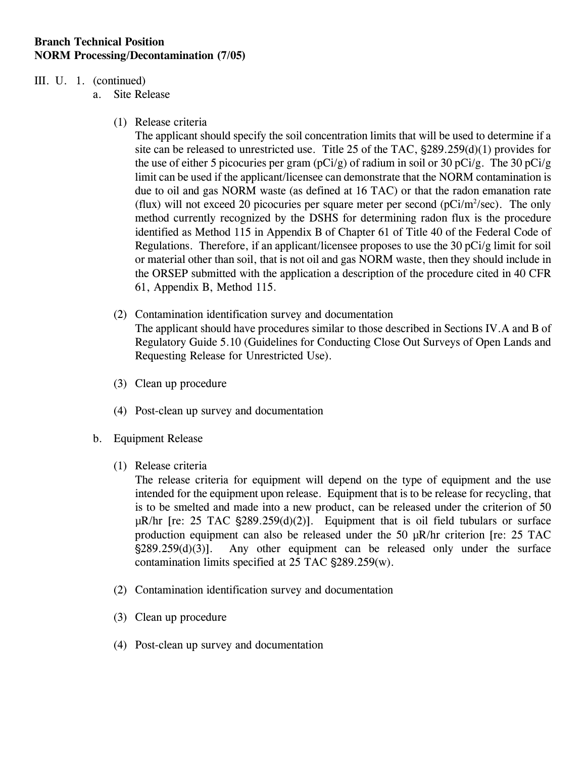#### III. U. 1. (continued)

a. Site Release

(1) Release criteria

The applicant should specify the soil concentration limits that will be used to determine if a site can be released to unrestricted use. Title 25 of the TAC,  $\S$ 289.259(d)(1) provides for the use of either 5 picocuries per gram (pCi/g) of radium in soil or 30 pCi/g. The 30 pCi/g limit can be used if the applicant/licensee can demonstrate that the NORM contamination is due to oil and gas NORM waste (as defined at 16 TAC) or that the radon emanation rate (flux) will not exceed 20 picocuries per square meter per second ( $pCi/m^2/sec$ ). The only method currently recognized by the DSHS for determining radon flux is the procedure identified as Method 115 in Appendix B of Chapter 61 of Title 40 of the Federal Code of Regulations. Therefore, if an applicant/licensee proposes to use the 30 pCi/g limit for soil or material other than soil, that is not oil and gas NORM waste, then they should include in the ORSEP submitted with the application a description of the procedure cited in 40 CFR 61, Appendix B, Method 115.

- (2) Contamination identification survey and documentation The applicant should have procedures similar to those described in Sections IV.A and B of Regulatory Guide 5.10 (Guidelines for Conducting Close Out Surveys of Open Lands and Requesting Release for Unrestricted Use).
- (3) Clean up procedure
- (4) Post-clean up survey and documentation
- b. Equipment Release
	- (1) Release criteria

The release criteria for equipment will depend on the type of equipment and the use intended for the equipment upon release. Equipment that is to be release for recycling, that is to be smelted and made into a new product, can be released under the criterion of 50  $\mu$ R/hr [re: 25 TAC  $\S 289.259(d)(2)$ ]. Equipment that is oil field tubulars or surface production equipment can also be released under the 50 µR/hr criterion [re: 25 TAC '289.259(d)(3)]. Any other equipment can be released only under the surface contamination limits specified at  $25$  TAC  $\S289.259(w)$ .

- (2) Contamination identification survey and documentation
- (3) Clean up procedure
- (4) Post-clean up survey and documentation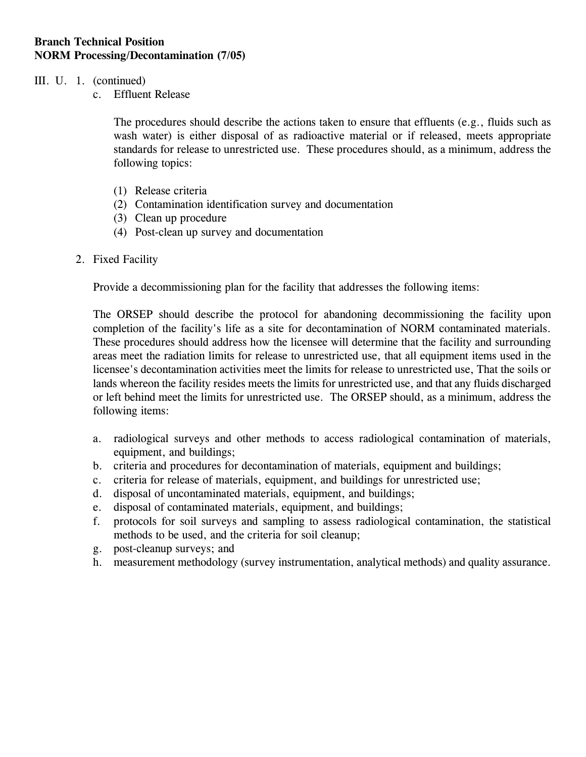#### III. U. 1. (continued)

c. Effluent Release

The procedures should describe the actions taken to ensure that effluents (e.g., fluids such as wash water) is either disposal of as radioactive material or if released, meets appropriate standards for release to unrestricted use. These procedures should, as a minimum, address the following topics:

- (1) Release criteria
- (2) Contamination identification survey and documentation
- (3) Clean up procedure
- (4) Post-clean up survey and documentation
- 2. Fixed Facility

Provide a decommissioning plan for the facility that addresses the following items:

The ORSEP should describe the protocol for abandoning decommissioning the facility upon completion of the facility's life as a site for decontamination of NORM contaminated materials. These procedures should address how the licensee will determine that the facility and surrounding areas meet the radiation limits for release to unrestricted use, that all equipment items used in the licensee's decontamination activities meet the limits for release to unrestricted use, That the soils or lands whereon the facility resides meets the limits for unrestricted use, and that any fluids discharged or left behind meet the limits for unrestricted use. The ORSEP should, as a minimum, address the following items:

- a. radiological surveys and other methods to access radiological contamination of materials, equipment, and buildings;
- b. criteria and procedures for decontamination of materials, equipment and buildings;
- c. criteria for release of materials, equipment, and buildings for unrestricted use;
- d. disposal of uncontaminated materials, equipment, and buildings;
- e. disposal of contaminated materials, equipment, and buildings;
- f. protocols for soil surveys and sampling to assess radiological contamination, the statistical methods to be used, and the criteria for soil cleanup;
- g. post-cleanup surveys; and
- h. measurement methodology (survey instrumentation, analytical methods) and quality assurance.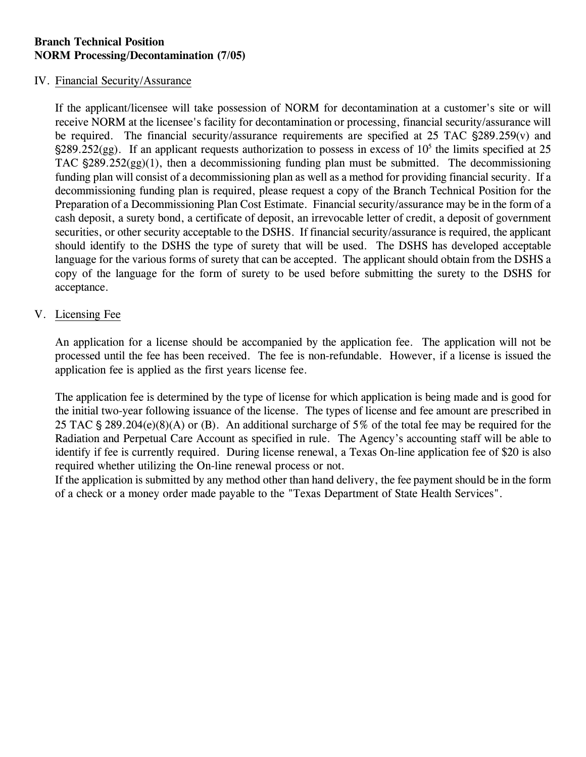#### IV. Financial Security/Assurance

If the applicant/licensee will take possession of NORM for decontamination at a customer's site or will receive NORM at the licensee's facility for decontamination or processing, financial security/assurance will be required. The financial security/assurance requirements are specified at  $25$  TAC  $\frac{289.259(v)}{250}$  and  $\S 289.252(gg)$ . If an applicant requests authorization to possess in excess of 10<sup>5</sup> the limits specified at 25 TAC  $\frac{289.252(gg)}{1}$ , then a decommissioning funding plan must be submitted. The decommissioning funding plan will consist of a decommissioning plan as well as a method for providing financial security. If a decommissioning funding plan is required, please request a copy of the Branch Technical Position for the Preparation of a Decommissioning Plan Cost Estimate. Financial security/assurance may be in the form of a cash deposit, a surety bond, a certificate of deposit, an irrevocable letter of credit, a deposit of government securities, or other security acceptable to the DSHS. If financial security/assurance is required, the applicant should identify to the DSHS the type of surety that will be used. The DSHS has developed acceptable language for the various forms of surety that can be accepted. The applicant should obtain from the DSHS a copy of the language for the form of surety to be used before submitting the surety to the DSHS for acceptance.

#### V. Licensing Fee

An application for a license should be accompanied by the application fee. The application will not be processed until the fee has been received. The fee is non-refundable. However, if a license is issued the application fee is applied as the first years license fee.

The application fee is determined by the type of license for which application is being made and is good for the initial two-year following issuance of the license. The types of license and fee amount are prescribed in 25 TAC  $\S 289.204(e)(8)(A)$  or (B). An additional surcharge of 5% of the total fee may be required for the Radiation and Perpetual Care Account as specified in rule. The Agency's accounting staff will be able to identify if fee is currently required. During license renewal, a Texas On-line application fee of \$20 is also required whether utilizing the On-line renewal process or not.

If the application is submitted by any method other than hand delivery, the fee payment should be in the form of a check or a money order made payable to the "Texas Department of State Health Services".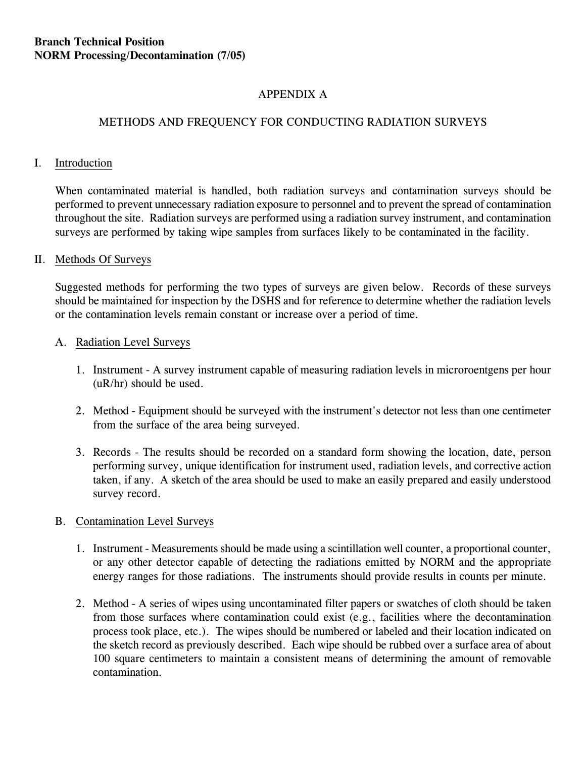# APPENDIX A

### METHODS AND FREQUENCY FOR CONDUCTING RADIATION SURVEYS

#### I. Introduction

When contaminated material is handled, both radiation surveys and contamination surveys should be performed to prevent unnecessary radiation exposure to personnel and to prevent the spread of contamination throughout the site. Radiation surveys are performed using a radiation survey instrument, and contamination surveys are performed by taking wipe samples from surfaces likely to be contaminated in the facility.

#### II. Methods Of Surveys

Suggested methods for performing the two types of surveys are given below. Records of these surveys should be maintained for inspection by the DSHS and for reference to determine whether the radiation levels or the contamination levels remain constant or increase over a period of time.

#### A. Radiation Level Surveys

- 1. Instrument A survey instrument capable of measuring radiation levels in microroentgens per hour (uR/hr) should be used.
- 2. Method Equipment should be surveyed with the instrument's detector not less than one centimeter from the surface of the area being surveyed.
- 3. Records The results should be recorded on a standard form showing the location, date, person performing survey, unique identification for instrument used, radiation levels, and corrective action taken, if any. A sketch of the area should be used to make an easily prepared and easily understood survey record.

#### B. Contamination Level Surveys

- 1. Instrument Measurements should be made using a scintillation well counter, a proportional counter, or any other detector capable of detecting the radiations emitted by NORM and the appropriate energy ranges for those radiations. The instruments should provide results in counts per minute.
- 2. Method A series of wipes using uncontaminated filter papers or swatches of cloth should be taken from those surfaces where contamination could exist (e.g., facilities where the decontamination process took place, etc.). The wipes should be numbered or labeled and their location indicated on the sketch record as previously described. Each wipe should be rubbed over a surface area of about 100 square centimeters to maintain a consistent means of determining the amount of removable contamination.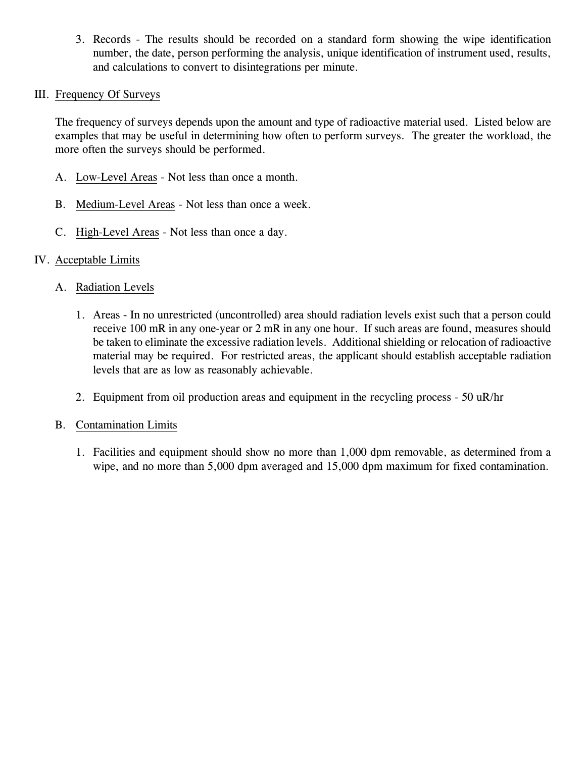3. Records - The results should be recorded on a standard form showing the wipe identification number, the date, person performing the analysis, unique identification of instrument used, results, and calculations to convert to disintegrations per minute.

#### III. Frequency Of Surveys

The frequency of surveys depends upon the amount and type of radioactive material used. Listed below are examples that may be useful in determining how often to perform surveys. The greater the workload, the more often the surveys should be performed.

- A. Low-Level Areas Not less than once a month.
- B. Medium-Level Areas Not less than once a week.
- C. High-Level Areas Not less than once a day.

### IV. Acceptable Limits

### A. Radiation Levels

- 1. Areas In no unrestricted (uncontrolled) area should radiation levels exist such that a person could receive 100 mR in any one-year or 2 mR in any one hour. If such areas are found, measures should be taken to eliminate the excessive radiation levels. Additional shielding or relocation of radioactive material may be required. For restricted areas, the applicant should establish acceptable radiation levels that are as low as reasonably achievable.
- 2. Equipment from oil production areas and equipment in the recycling process 50 uR/hr

#### B. Contamination Limits

1. Facilities and equipment should show no more than 1,000 dpm removable, as determined from a wipe, and no more than 5,000 dpm averaged and 15,000 dpm maximum for fixed contamination.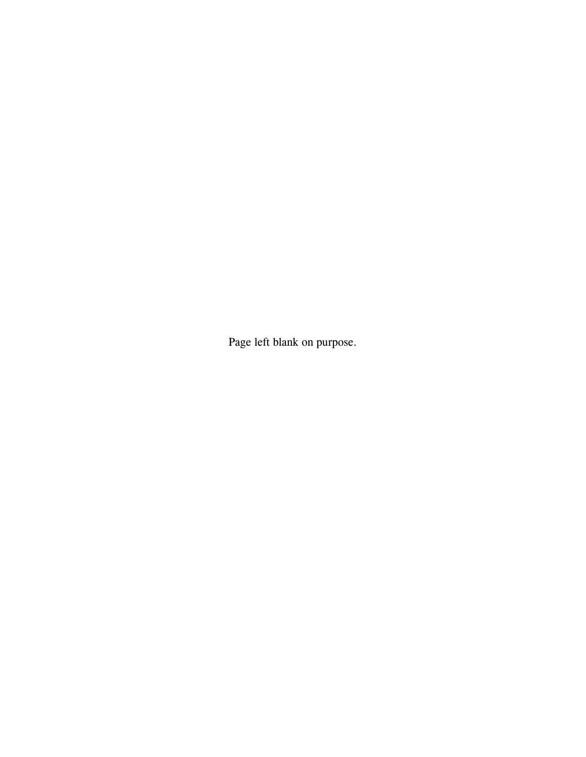Page left blank on purpose.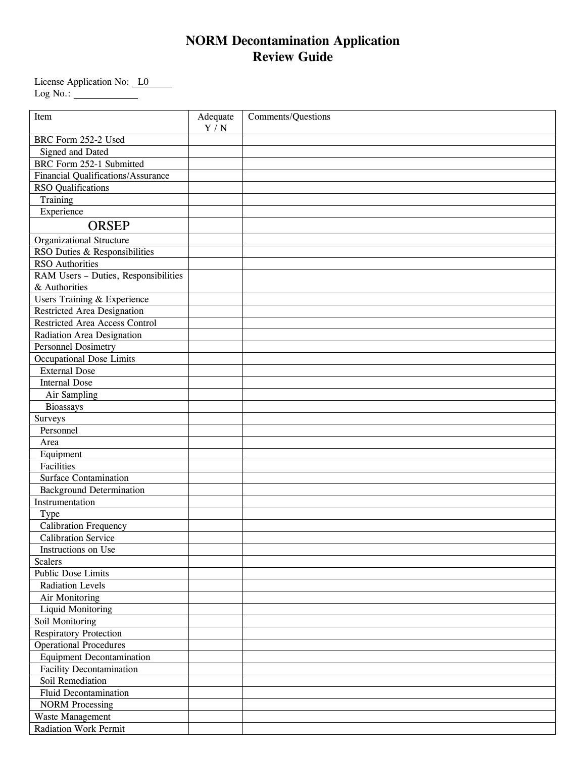# **NORM Decontamination Application Review Guide**

License Application No: L0 Log No.:

| Item                                      | Adequate | Comments/Questions |
|-------------------------------------------|----------|--------------------|
|                                           | Y / N    |                    |
| BRC Form 252-2 Used                       |          |                    |
| Signed and Dated                          |          |                    |
| BRC Form 252-1 Submitted                  |          |                    |
| <b>Financial Qualifications/Assurance</b> |          |                    |
| <b>RSO</b> Qualifications                 |          |                    |
| Training                                  |          |                    |
| Experience                                |          |                    |
| <b>ORSEP</b>                              |          |                    |
| <b>Organizational Structure</b>           |          |                    |
| RSO Duties & Responsibilities             |          |                    |
| <b>RSO</b> Authorities                    |          |                    |
| RAM Users - Duties, Responsibilities      |          |                    |
| & Authorities                             |          |                    |
| Users Training & Experience               |          |                    |
| <b>Restricted Area Designation</b>        |          |                    |
| <b>Restricted Area Access Control</b>     |          |                    |
| Radiation Area Designation                |          |                    |
| <b>Personnel Dosimetry</b>                |          |                    |
| <b>Occupational Dose Limits</b>           |          |                    |
| <b>External Dose</b>                      |          |                    |
| <b>Internal Dose</b>                      |          |                    |
| Air Sampling                              |          |                    |
| <b>Bioassays</b>                          |          |                    |
| Surveys                                   |          |                    |
| Personnel                                 |          |                    |
| Area                                      |          |                    |
| Equipment                                 |          |                    |
| Facilities                                |          |                    |
| Surface Contamination                     |          |                    |
| <b>Background Determination</b>           |          |                    |
| Instrumentation                           |          |                    |
| Type                                      |          |                    |
| Calibration Frequency                     |          |                    |
| <b>Calibration Service</b>                |          |                    |
| Instructions on Use                       |          |                    |
| <b>Scalers</b>                            |          |                    |
| <b>Public Dose Limits</b>                 |          |                    |
| <b>Radiation Levels</b>                   |          |                    |
| Air Monitoring                            |          |                    |
| <b>Liquid Monitoring</b>                  |          |                    |
| Soil Monitoring                           |          |                    |
| <b>Respiratory Protection</b>             |          |                    |
| <b>Operational Procedures</b>             |          |                    |
| <b>Equipment Decontamination</b>          |          |                    |
| <b>Facility Decontamination</b>           |          |                    |
| Soil Remediation                          |          |                    |
| <b>Fluid Decontamination</b>              |          |                    |
| <b>NORM Processing</b>                    |          |                    |
| Waste Management                          |          |                    |
| <b>Radiation Work Permit</b>              |          |                    |